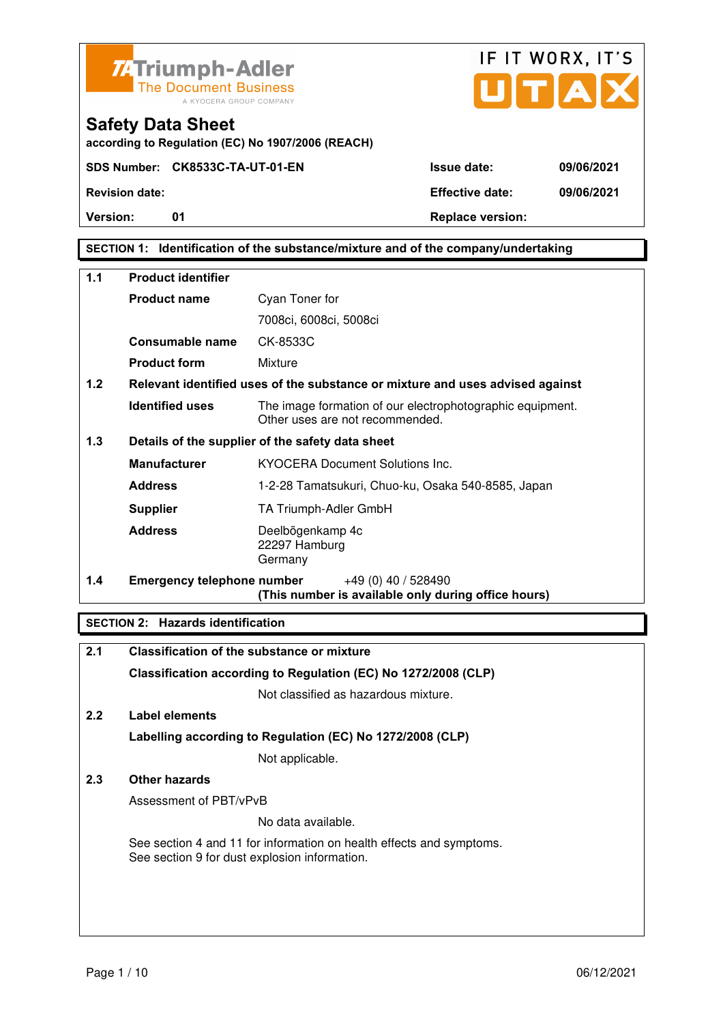



**Safety Data Sheet** 

**Version:** 01 **Depending to Provide Contract Provide Contract Provide Contract Provide Contract Provide Contract Provide Contract Provide Contract Provide Contract Provide Contract Provide Contract Provide Contract Provide** 

## **SECTION 1: Identification of the substance/mixture and of the company/undertaking**

| 1.1 | <b>Product identifier</b>                        |                                                                                              |
|-----|--------------------------------------------------|----------------------------------------------------------------------------------------------|
|     | <b>Product name</b>                              | Cyan Toner for                                                                               |
|     |                                                  | 7008ci, 6008ci, 5008ci                                                                       |
|     | Consumable name                                  | CK-8533C                                                                                     |
|     | <b>Product form</b>                              | Mixture                                                                                      |
| 1.2 |                                                  | Relevant identified uses of the substance or mixture and uses advised against                |
|     | <b>Identified uses</b>                           | The image formation of our electrophotographic equipment.<br>Other uses are not recommended. |
| 1.3 | Details of the supplier of the safety data sheet |                                                                                              |
|     | <b>Manufacturer</b>                              | <b>KYOCERA Document Solutions Inc.</b>                                                       |
|     | <b>Address</b>                                   | 1-2-28 Tamatsukuri, Chuo-ku, Osaka 540-8585, Japan                                           |
|     | <b>Supplier</b>                                  | TA Triumph-Adler GmbH                                                                        |
|     | <b>Address</b>                                   | Deelbögenkamp 4c<br>22297 Hamburg<br>Germany                                                 |
| 1.4 | <b>Emergency telephone number</b>                | $+49(0)$ 40 / 528490<br>(This number is available only during office hours)                  |

### **SECTION 2: Hazards identification**

| 2.1 | <b>Classification of the substance or mixture</b>                                                                     |
|-----|-----------------------------------------------------------------------------------------------------------------------|
|     | Classification according to Regulation (EC) No 1272/2008 (CLP)                                                        |
|     | Not classified as hazardous mixture.                                                                                  |
| 2.2 | Label elements                                                                                                        |
|     | Labelling according to Regulation (EC) No 1272/2008 (CLP)                                                             |
|     | Not applicable.                                                                                                       |
| 2.3 | Other hazards                                                                                                         |
|     | Assessment of PBT/vPvB                                                                                                |
|     | No data available.                                                                                                    |
|     | See section 4 and 11 for information on health effects and symptoms.<br>See section 9 for dust explosion information. |
|     |                                                                                                                       |
|     |                                                                                                                       |
|     |                                                                                                                       |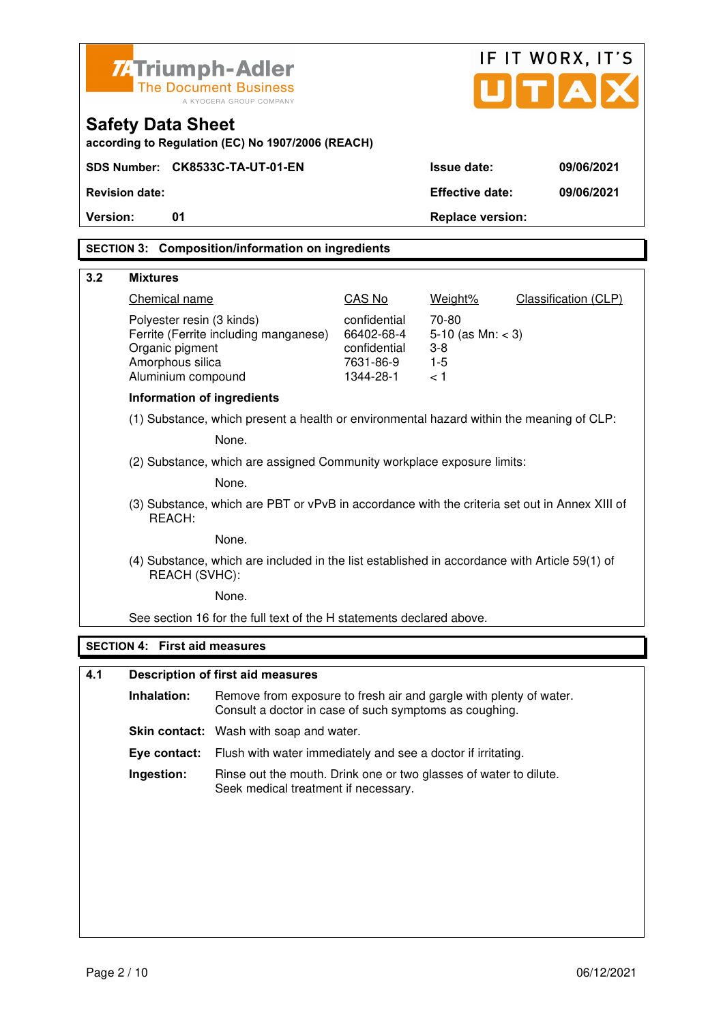|                                                                                          | <b>ZATriumph-Adler</b>                                                                                  |                                                                                               |                           |                         | IF IT WORX, IT'S     |
|------------------------------------------------------------------------------------------|---------------------------------------------------------------------------------------------------------|-----------------------------------------------------------------------------------------------|---------------------------|-------------------------|----------------------|
|                                                                                          | <b>The Document Business</b><br>A KYOCERA GROUP COMPANY                                                 |                                                                                               |                           |                         | U[T A]               |
|                                                                                          |                                                                                                         |                                                                                               |                           |                         |                      |
|                                                                                          | <b>Safety Data Sheet</b>                                                                                | according to Regulation (EC) No 1907/2006 (REACH)                                             |                           |                         |                      |
|                                                                                          |                                                                                                         | SDS Number: CK8533C-TA-UT-01-EN                                                               |                           | <b>Issue date:</b>      | 09/06/2021           |
|                                                                                          | <b>Revision date:</b>                                                                                   |                                                                                               |                           | <b>Effective date:</b>  | 09/06/2021           |
| Version:                                                                                 | 01                                                                                                      |                                                                                               |                           | <b>Replace version:</b> |                      |
|                                                                                          |                                                                                                         | <b>SECTION 3: Composition/information on ingredients</b>                                      |                           |                         |                      |
| 3.2                                                                                      | <b>Mixtures</b>                                                                                         |                                                                                               |                           |                         |                      |
|                                                                                          | Chemical name                                                                                           |                                                                                               | CAS No                    | Weight%                 | Classification (CLP) |
|                                                                                          | Polyester resin (3 kinds)                                                                               |                                                                                               | confidential              | 70-80                   |                      |
|                                                                                          |                                                                                                         | Ferrite (Ferrite including manganese)                                                         | 66402-68-4                | 5-10 (as $Mn: < 3$ )    |                      |
|                                                                                          | Organic pigment<br>Amorphous silica                                                                     |                                                                                               | confidential<br>7631-86-9 | $3 - 8$<br>$1 - 5$      |                      |
|                                                                                          | Aluminium compound                                                                                      |                                                                                               | 1344-28-1                 | < 1                     |                      |
|                                                                                          | <b>Information of ingredients</b>                                                                       |                                                                                               |                           |                         |                      |
| (1) Substance, which present a health or environmental hazard within the meaning of CLP: |                                                                                                         |                                                                                               |                           |                         |                      |
|                                                                                          |                                                                                                         | None.                                                                                         |                           |                         |                      |
| (2) Substance, which are assigned Community workplace exposure limits:                   |                                                                                                         |                                                                                               |                           |                         |                      |
|                                                                                          |                                                                                                         | None.                                                                                         |                           |                         |                      |
|                                                                                          | (3) Substance, which are PBT or vPvB in accordance with the criteria set out in Annex XIII of<br>REACH: |                                                                                               |                           |                         |                      |
|                                                                                          |                                                                                                         | None.                                                                                         |                           |                         |                      |
|                                                                                          | REACH (SVHC):                                                                                           | (4) Substance, which are included in the list established in accordance with Article 59(1) of |                           |                         |                      |
|                                                                                          |                                                                                                         | None.                                                                                         |                           |                         |                      |
|                                                                                          |                                                                                                         | See section 16 for the full text of the H statements declared above.                          |                           |                         |                      |
|                                                                                          | <b>SECTION 4: First aid measures</b>                                                                    |                                                                                               |                           |                         |                      |
| 4.1                                                                                      |                                                                                                         | <b>Description of first aid measures</b>                                                      |                           |                         |                      |
|                                                                                          | Inhalation:                                                                                             | Remove from exposure to fresh air and gargle with plenty of water.                            |                           |                         |                      |
|                                                                                          |                                                                                                         | Consult a doctor in case of such symptoms as coughing.                                        |                           |                         |                      |
|                                                                                          |                                                                                                         | <b>Skin contact:</b> Wash with soap and water.                                                |                           |                         |                      |
|                                                                                          | Eye contact:                                                                                            | Flush with water immediately and see a doctor if irritating.                                  |                           |                         |                      |

**Ingestion:** Rinse out the mouth. Drink one or two glasses of water to dilute. Seek medical treatment if necessary.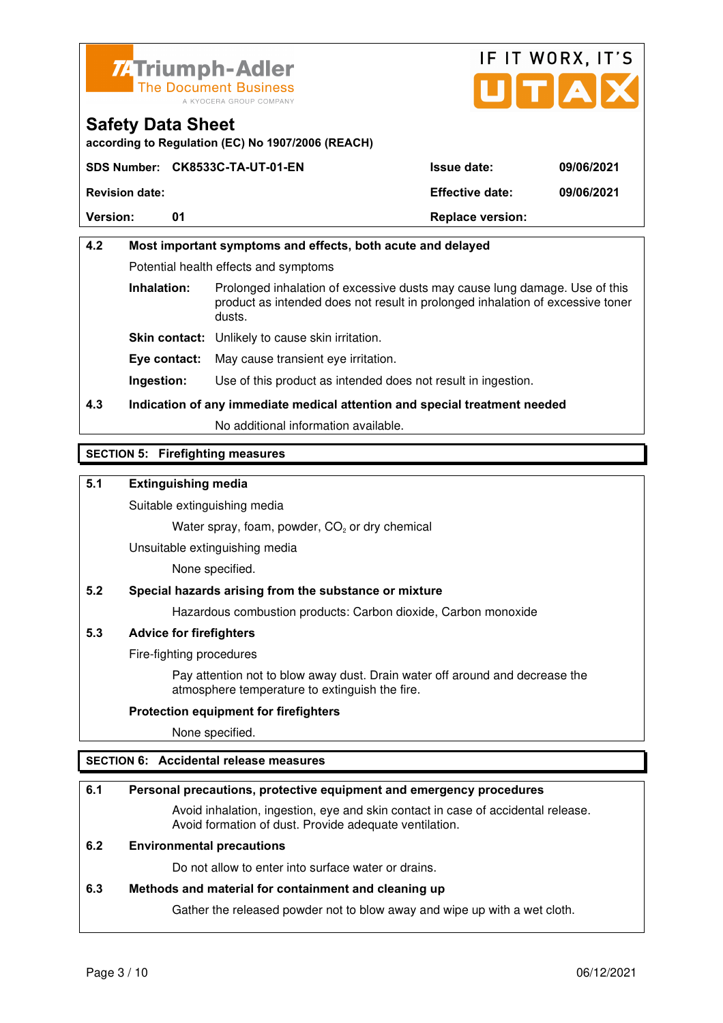



**according to Regulation (EC) No 1907/2006 (REACH)**

|                       | SDS Number: CK8533C-TA-UT-01-EN | <b>Issue date:</b>      | 09/06/2021 |
|-----------------------|---------------------------------|-------------------------|------------|
| <b>Revision date:</b> |                                 | <b>Effective date:</b>  | 09/06/2021 |
| <b>Version:</b>       |                                 | <b>Replace version:</b> |            |

## **4.2 Most important symptoms and effects, both acute and delayed**  Potential health effects and symptoms **Inhalation:** Prolonged inhalation of excessive dusts may cause lung damage. Use of this product as intended does not result in prolonged inhalation of excessive toner dusts. **Skin contact:** Unlikely to cause skin irritation. **Eye contact:** May cause transient eye irritation.

**Ingestion:** Use of this product as intended does not result in ingestion.

## **4.3 Indication of any immediate medical attention and special treatment needed**

No additional information available.

### **SECTION 5: Firefighting measures**

#### **5.1 Extinguishing media**

Suitable extinguishing media

Water spray, foam, powder,  $CO<sub>2</sub>$  or dry chemical

Unsuitable extinguishing media

None specified.

### **5.2 Special hazards arising from the substance or mixture**

Hazardous combustion products: Carbon dioxide, Carbon monoxide

#### **5.3 Advice for firefighters**

Fire-fighting procedures

 Pay attention not to blow away dust. Drain water off around and decrease the atmosphere temperature to extinguish the fire.

#### **Protection equipment for firefighters**

None specified.

#### **SECTION 6: Accidental release measures**

#### **6.1 Personal precautions, protective equipment and emergency procedures**

 Avoid inhalation, ingestion, eye and skin contact in case of accidental release. Avoid formation of dust. Provide adequate ventilation.

#### **6.2 Environmental precautions**

Do not allow to enter into surface water or drains.

#### **6.3 Methods and material for containment and cleaning up**

Gather the released powder not to blow away and wipe up with a wet cloth.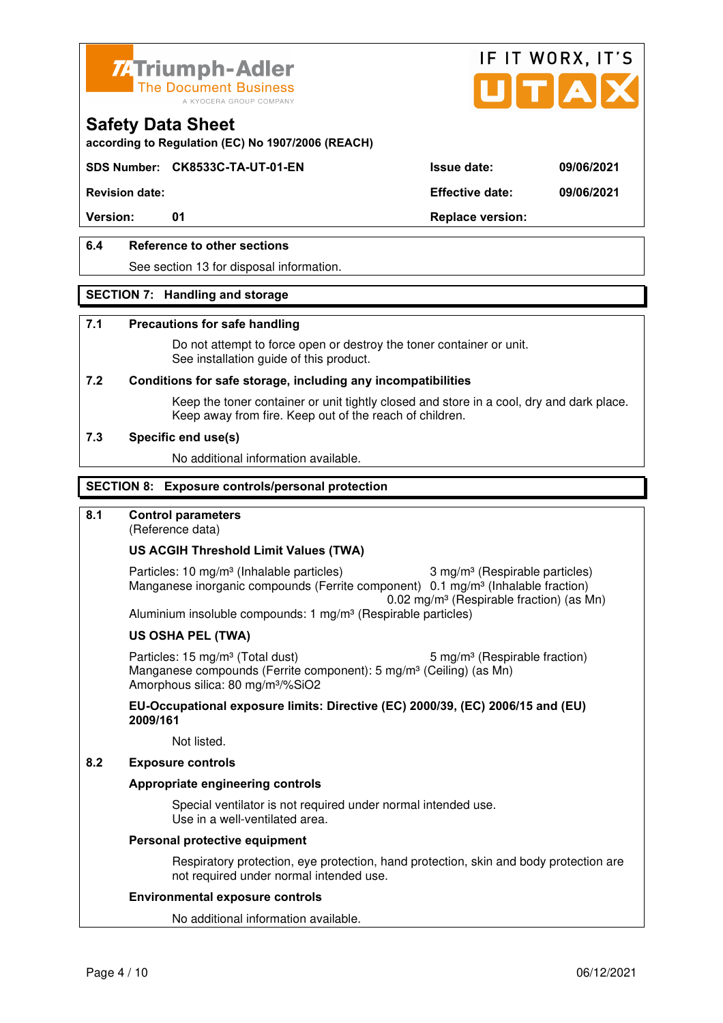



**according to Regulation (EC) No 1907/2006 (REACH)**

### **SDS Number: CK8533C-TA-UT-01-EN Issue date: 09/06/2021**

**Revision date: Effective date: 09/06/2021** 

Version: 01 01 **Replace version:** 

### **6.4 Reference to other sections**

See section 13 for disposal information.

#### **SECTION 7: Handling and storage**

#### **7.1 Precautions for safe handling**

 Do not attempt to force open or destroy the toner container or unit. See installation guide of this product.

#### **7.2 Conditions for safe storage, including any incompatibilities**

Keep the toner container or unit tightly closed and store in a cool, dry and dark place. Keep away from fire. Keep out of the reach of children.

#### **7.3 Specific end use(s)**

No additional information available.

#### **SECTION 8: Exposure controls/personal protection**

#### **8.1 Control parameters**

(Reference data)

#### **US ACGIH Threshold Limit Values (TWA)**

Particles: 10 mg/m<sup>3</sup> (Inhalable particles) 3 mg/m<sup>3</sup> (Respirable particles) Manganese inorganic compounds (Ferrite component) 0.1 mg/m<sup>3</sup> (Inhalable fraction) 0.02 mg/m³ (Respirable fraction) (as Mn) Aluminium insoluble compounds: 1 mg/m<sup>3</sup> (Respirable particles)

#### **US OSHA PEL (TWA)**

Particles: 15 mg/m<sup>3</sup> (Total dust) 5 mg/m<sup>3</sup> (Respirable fraction) Manganese compounds (Ferrite component): 5 mg/m<sup>3</sup> (Ceiling) (as Mn) Amorphous silica: 80 mg/m³/%SiO2

**EU-Occupational exposure limits: Directive (EC) 2000/39, (EC) 2006/15 and (EU) 2009/161**

Not listed.

#### **8.2 Exposure controls**

#### **Appropriate engineering controls**

 Special ventilator is not required under normal intended use. Use in a well-ventilated area.

#### **Personal protective equipment**

 Respiratory protection, eye protection, hand protection, skin and body protection are not required under normal intended use.

#### **Environmental exposure controls**

No additional information available.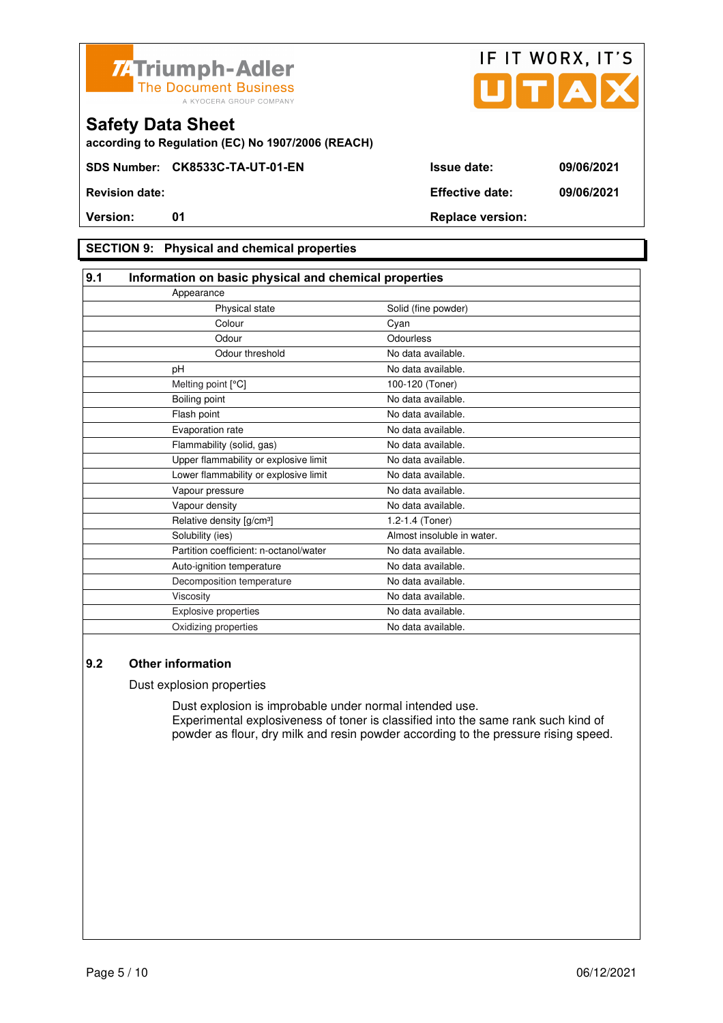



**according to Regulation (EC) No 1907/2006 (REACH)**

### **SECTION 9: Physical and chemical properties**

| 9.1<br>Information on basic physical and chemical properties |                            |  |
|--------------------------------------------------------------|----------------------------|--|
| Appearance                                                   |                            |  |
| Physical state                                               | Solid (fine powder)        |  |
| Colour                                                       | Cyan                       |  |
| Odour                                                        | Odourless                  |  |
| Odour threshold                                              | No data available.         |  |
| pH                                                           | No data available.         |  |
| Melting point [°C]                                           | 100-120 (Toner)            |  |
| Boiling point                                                | No data available.         |  |
| Flash point                                                  | No data available.         |  |
| Evaporation rate                                             | No data available.         |  |
| Flammability (solid, gas)                                    | No data available.         |  |
| Upper flammability or explosive limit                        | No data available.         |  |
| Lower flammability or explosive limit                        | No data available.         |  |
| Vapour pressure                                              | No data available.         |  |
| Vapour density                                               | No data available.         |  |
| Relative density [g/cm <sup>3</sup> ]                        | 1.2-1.4 (Toner)            |  |
| Solubility (ies)                                             | Almost insoluble in water. |  |
| Partition coefficient: n-octanol/water                       | No data available.         |  |
| Auto-ignition temperature                                    | No data available.         |  |
| Decomposition temperature                                    | No data available.         |  |
| Viscosity                                                    | No data available.         |  |
| <b>Explosive properties</b>                                  | No data available.         |  |
| Oxidizing properties                                         | No data available.         |  |

### **9.2 Other information**

Dust explosion properties

 Dust explosion is improbable under normal intended use. Experimental explosiveness of toner is classified into the same rank such kind of powder as flour, dry milk and resin powder according to the pressure rising speed.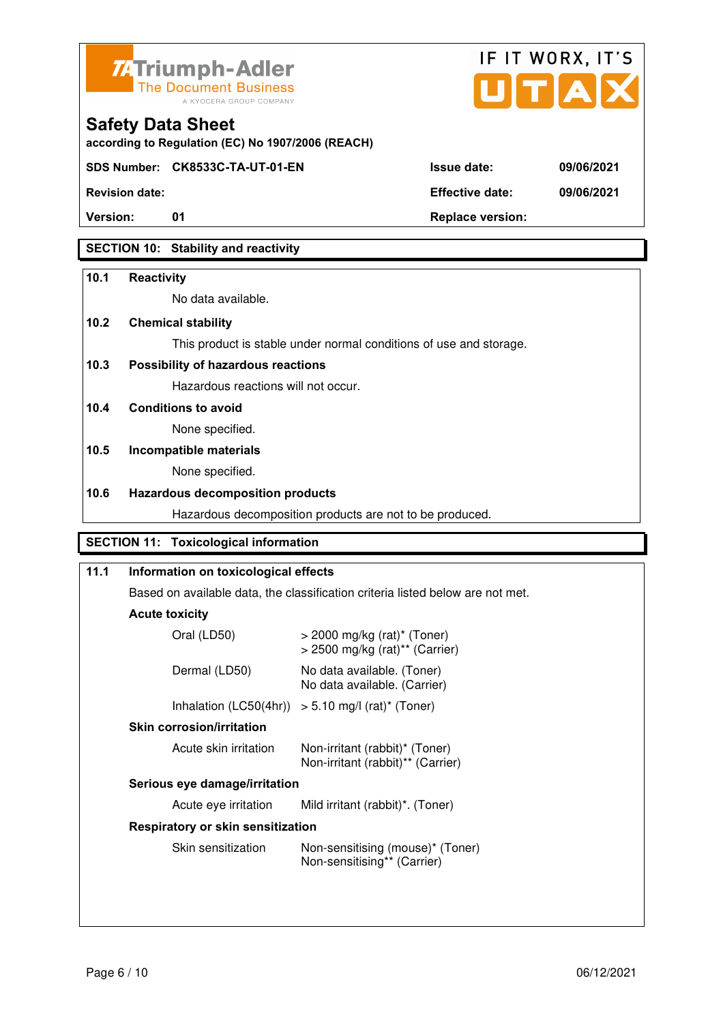



| <b>Safety Data Sheet</b> |  |  |
|--------------------------|--|--|
|--------------------------|--|--|

**SDS Number: CK8533C-TA-UT-01-EN Issue date: 09/06/2021** 

**Revision date: Effective date: 09/06/2021** 

**Version:** 01 01 **Replace version:** 

## **SECTION 10: Stability and reactivity**

### **10.1 Reactivity**

No data available.

## **10.2 Chemical stability**

This product is stable under normal conditions of use and storage.

## **10.3 Possibility of hazardous reactions**

Hazardous reactions will not occur.

**10.4 Conditions to avoid** 

None specified.

## **10.5 Incompatible materials**

None specified.

### **10.6 Hazardous decomposition products**

Hazardous decomposition products are not to be produced.

## **SECTION 11: Toxicological information**

## **11.1 Information on toxicological effects**  Based on available data, the classification criteria listed below are not met. **Acute toxicity** Oral (LD50) > 2000 mg/kg (rat)\* (Toner) > 2500 mg/kg (rat)\*\* (Carrier) Dermal (LD50) No data available. (Toner) No data available. (Carrier) Inhalation  $(LC50(4hr)) > 5.10$  mg/l  $(rat)^*$  (Toner)  **Skin corrosion/irritation** Acute skin irritation Non-irritant (rabbit)\* (Toner) Non-irritant (rabbit)\*\* (Carrier)  **Serious eye damage/irritation** Acute eye irritation Mild irritant (rabbit)\*. (Toner)  **Respiratory or skin sensitization**  Skin sensitization Mon-sensitising (mouse)\* (Toner) Non-sensitising\*\* (Carrier)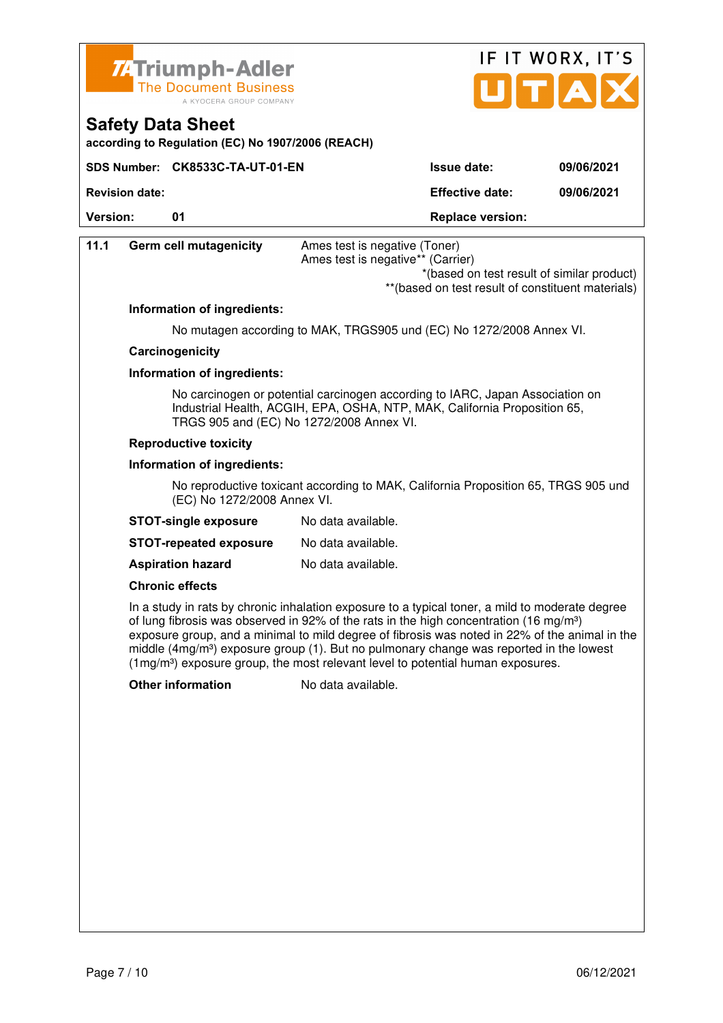



**Safety Data Sheet** 

**Revision date: Effective date: 09/06/2021** 

**Version:** 01 **Depending to the UP** Replace version:

| 11.1 | <b>Germ cell mutagenicity</b>                                                                                     | Ames test is negative (Toner)<br>Ames test is negative** (Carrier)<br>*(based on test result of similar product)                                                                                                                                                                                                                                                                                                                                                                                   |  |
|------|-------------------------------------------------------------------------------------------------------------------|----------------------------------------------------------------------------------------------------------------------------------------------------------------------------------------------------------------------------------------------------------------------------------------------------------------------------------------------------------------------------------------------------------------------------------------------------------------------------------------------------|--|
|      |                                                                                                                   | ** (based on test result of constituent materials)                                                                                                                                                                                                                                                                                                                                                                                                                                                 |  |
|      | Information of ingredients:                                                                                       |                                                                                                                                                                                                                                                                                                                                                                                                                                                                                                    |  |
|      |                                                                                                                   | No mutagen according to MAK, TRGS905 und (EC) No 1272/2008 Annex VI.                                                                                                                                                                                                                                                                                                                                                                                                                               |  |
|      | Carcinogenicity                                                                                                   |                                                                                                                                                                                                                                                                                                                                                                                                                                                                                                    |  |
|      | Information of ingredients:                                                                                       |                                                                                                                                                                                                                                                                                                                                                                                                                                                                                                    |  |
|      |                                                                                                                   | No carcinogen or potential carcinogen according to IARC, Japan Association on<br>Industrial Health, ACGIH, EPA, OSHA, NTP, MAK, California Proposition 65,<br>TRGS 905 and (EC) No 1272/2008 Annex VI.                                                                                                                                                                                                                                                                                             |  |
|      | <b>Reproductive toxicity</b>                                                                                      |                                                                                                                                                                                                                                                                                                                                                                                                                                                                                                    |  |
|      | Information of ingredients:                                                                                       |                                                                                                                                                                                                                                                                                                                                                                                                                                                                                                    |  |
|      | No reproductive toxicant according to MAK, California Proposition 65, TRGS 905 und<br>(EC) No 1272/2008 Annex VI. |                                                                                                                                                                                                                                                                                                                                                                                                                                                                                                    |  |
|      | <b>STOT-single exposure</b>                                                                                       | No data available.                                                                                                                                                                                                                                                                                                                                                                                                                                                                                 |  |
|      | <b>STOT-repeated exposure</b>                                                                                     | No data available.                                                                                                                                                                                                                                                                                                                                                                                                                                                                                 |  |
|      | <b>Aspiration hazard</b>                                                                                          | No data available.                                                                                                                                                                                                                                                                                                                                                                                                                                                                                 |  |
|      | <b>Chronic effects</b>                                                                                            |                                                                                                                                                                                                                                                                                                                                                                                                                                                                                                    |  |
|      |                                                                                                                   | In a study in rats by chronic inhalation exposure to a typical toner, a mild to moderate degree<br>of lung fibrosis was observed in 92% of the rats in the high concentration (16 mg/m <sup>3</sup> )<br>exposure group, and a minimal to mild degree of fibrosis was noted in 22% of the animal in the<br>middle $(4mg/m3)$ exposure group (1). But no pulmonary change was reported in the lowest<br>(1mg/m <sup>3</sup> ) exposure group, the most relevant level to potential human exposures. |  |
|      | <b>Other information</b>                                                                                          | No data available.                                                                                                                                                                                                                                                                                                                                                                                                                                                                                 |  |
|      |                                                                                                                   |                                                                                                                                                                                                                                                                                                                                                                                                                                                                                                    |  |
|      |                                                                                                                   |                                                                                                                                                                                                                                                                                                                                                                                                                                                                                                    |  |
|      |                                                                                                                   |                                                                                                                                                                                                                                                                                                                                                                                                                                                                                                    |  |
|      |                                                                                                                   |                                                                                                                                                                                                                                                                                                                                                                                                                                                                                                    |  |
|      |                                                                                                                   |                                                                                                                                                                                                                                                                                                                                                                                                                                                                                                    |  |
|      |                                                                                                                   |                                                                                                                                                                                                                                                                                                                                                                                                                                                                                                    |  |
|      |                                                                                                                   |                                                                                                                                                                                                                                                                                                                                                                                                                                                                                                    |  |
|      |                                                                                                                   |                                                                                                                                                                                                                                                                                                                                                                                                                                                                                                    |  |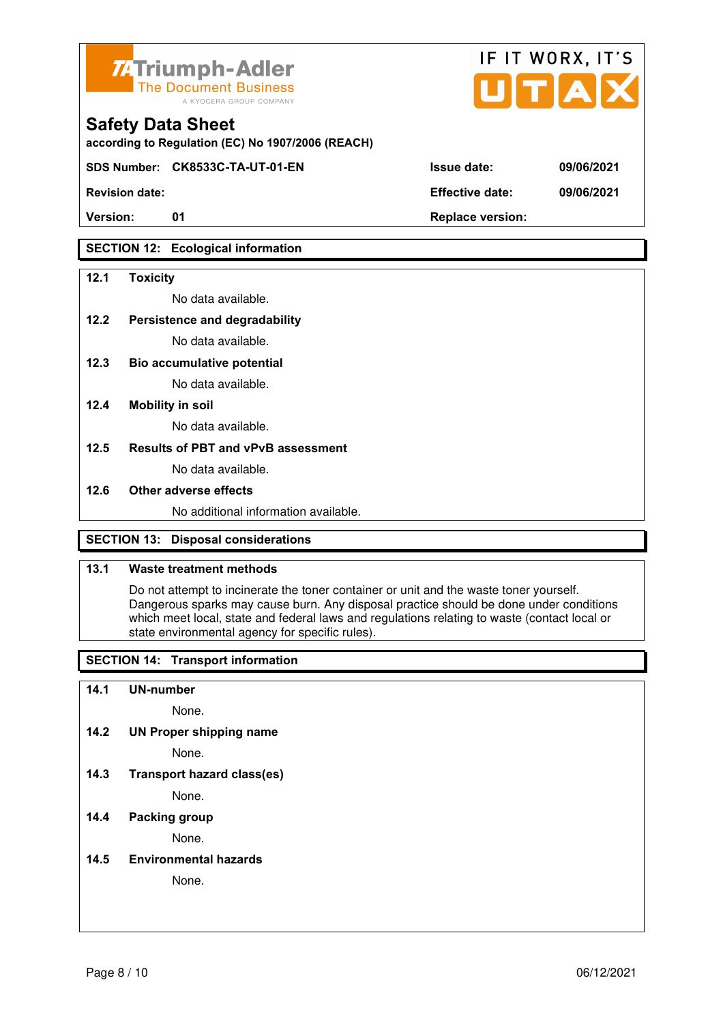

**according to Regulation (EC) No 1907/2006 (REACH)**

**SDS Number: CK8533C-TA-UT-01-EN Issue date: 09/06/2021** 

Version: 01 01 **Replace version:** 

## **SECTION 12: Ecological information**

#### **12.1 Toxicity**

No data available.

#### **12.2 Persistence and degradability**

No data available.

**12.3 Bio accumulative potential** 

No data available.

#### **12.4 Mobility in soil**

No data available.

#### **12.5 Results of PBT and vPvB assessment**

No data available.

#### **12.6 Other adverse effects**

No additional information available.

## **SECTION 13: Disposal considerations**

#### **13.1 Waste treatment methods**

 Do not attempt to incinerate the toner container or unit and the waste toner yourself. Dangerous sparks may cause burn. Any disposal practice should be done under conditions which meet local, state and federal laws and regulations relating to waste (contact local or state environmental agency for specific rules).

## **SECTION 14: Transport information**

#### **14.1 UN-number**

None.

**14.2 UN Proper shipping name** 

None.

**14.3 Transport hazard class(es)** 

None.

### **14.4 Packing group**

None.

#### **14.5 Environmental hazards**

None.

| <b>Revision date:</b> | <b>Effective date:</b> | 09/06/2021 |
|-----------------------|------------------------|------------|

IF IT WORX, IT'S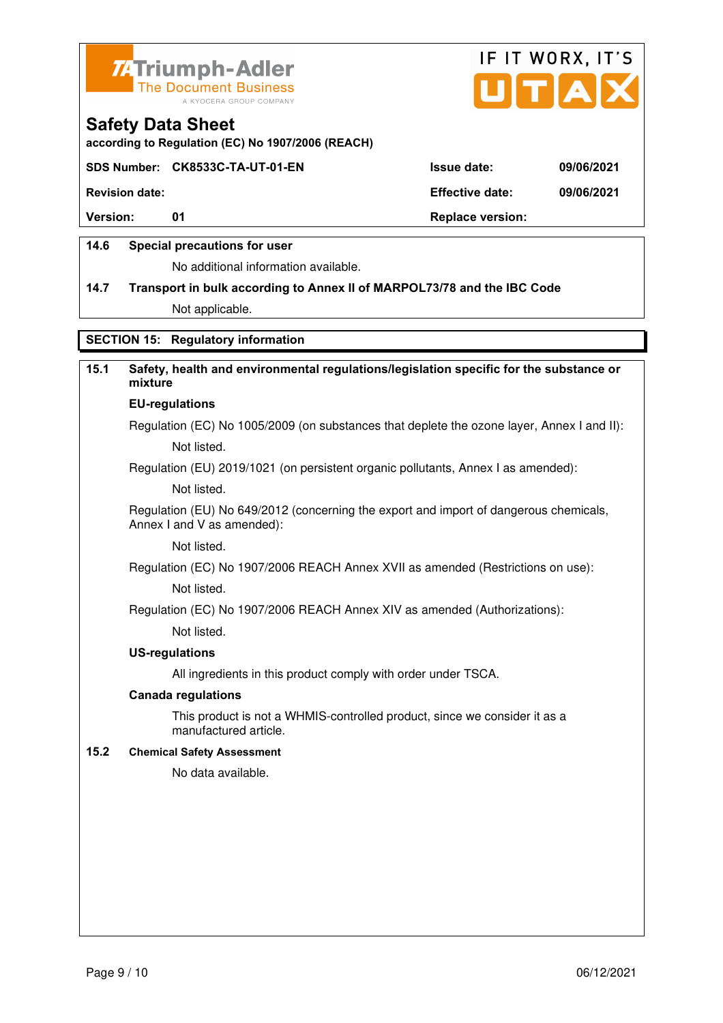



**according to Regulation (EC) No 1907/2006 (REACH)**

#### **SDS Number: CK8533C-TA-UT-01-EN Issue date: 09/06/2021**

**Revision date: Effective date: 09/06/2021** 

**Version:** 01 **Depending to 201 Replace version:** 

#### **14.6 Special precautions for user**

No additional information available.

## **14.7 Transport in bulk according to Annex II of MARPOL73/78 and the IBC Code**

Not applicable.

## **SECTION 15: Regulatory information**

## **15.1 Safety, health and environmental regulations/legislation specific for the substance or mixture**

## **EU-regulations**

Regulation (EC) No 1005/2009 (on substances that deplete the ozone layer, Annex I and II): Not listed.

Regulation (EU) 2019/1021 (on persistent organic pollutants, Annex I as amended):

Not listed.

 Regulation (EU) No 649/2012 (concerning the export and import of dangerous chemicals, Annex I and V as amended):

Not listed.

 Regulation (EC) No 1907/2006 REACH Annex XVII as amended (Restrictions on use): Not listed.

Regulation (EC) No 1907/2006 REACH Annex XIV as amended (Authorizations):

Not listed.

#### **US-regulations**

All ingredients in this product comply with order under TSCA.

#### **Canada regulations**

 This product is not a WHMIS-controlled product, since we consider it as a manufactured article.

#### **15.2 Chemical Safety Assessment**

No data available.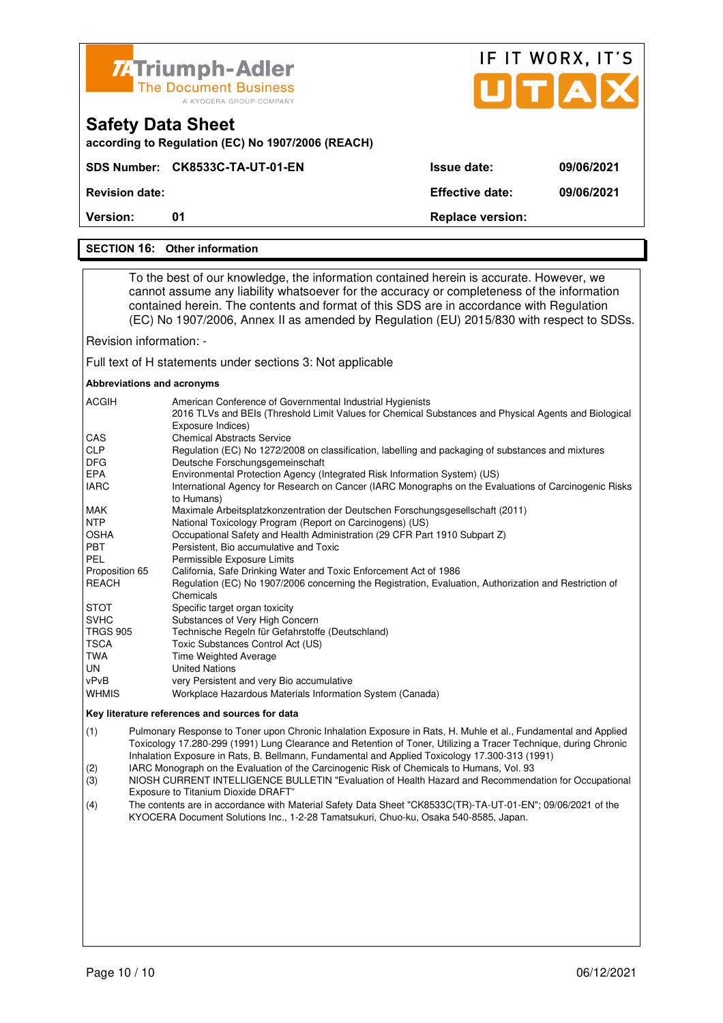| <b>ZATriumph-Adler</b><br><b>The Document Business</b> |
|--------------------------------------------------------|
| A KYOCERA GROUP COMPANY                                |

**SDS Number: CK8533C-TA-UT-01-EN** 

**according to Regulation (EC) No 1907/2006 (REACH)**

|                    | IF IT WORX, IT'S<br><b>A U I</b> |
|--------------------|----------------------------------|
| <b>Issue date:</b> | 09/06/2021                       |

**Revision date: Effective date: 09/06/2021** 

**Version:** 01 **Replace version: 01 Replace version:** 

#### **SECTION 16: Other information**

**Safety Data Sheet** 

 To the best of our knowledge, the information contained herein is accurate. However, we cannot assume any liability whatsoever for the accuracy or completeness of the information contained herein. The contents and format of this SDS are in accordance with Regulation (EC) No 1907/2006, Annex II as amended by Regulation (EU) 2015/830 with respect to SDSs.

Revision information: -

Full text of H statements under sections 3: Not applicable

#### **Abbreviations and acronyms**

| <b>ACGIH</b>    | American Conference of Governmental Industrial Hygienists<br>2016 TLVs and BEIs (Threshold Limit Values for Chemical Substances and Physical Agents and Biological<br>Exposure Indices) |
|-----------------|-----------------------------------------------------------------------------------------------------------------------------------------------------------------------------------------|
| CAS             | <b>Chemical Abstracts Service</b>                                                                                                                                                       |
| <b>CLP</b>      | Regulation (EC) No 1272/2008 on classification, labelling and packaging of substances and mixtures                                                                                      |
| <b>DFG</b>      | Deutsche Forschungsgemeinschaft                                                                                                                                                         |
| EPA             | Environmental Protection Agency (Integrated Risk Information System) (US)                                                                                                               |
| <b>IARC</b>     | International Agency for Research on Cancer (IARC Monographs on the Evaluations of Carcinogenic Risks<br>to Humans)                                                                     |
| <b>MAK</b>      | Maximale Arbeitsplatzkonzentration der Deutschen Forschungsgesellschaft (2011)                                                                                                          |
| <b>NTP</b>      | National Toxicology Program (Report on Carcinogens) (US)                                                                                                                                |
| <b>OSHA</b>     | Occupational Safety and Health Administration (29 CFR Part 1910 Subpart Z)                                                                                                              |
| <b>PBT</b>      | Persistent, Bio accumulative and Toxic                                                                                                                                                  |
| PEL             | Permissible Exposure Limits                                                                                                                                                             |
| Proposition 65  | California, Safe Drinking Water and Toxic Enforcement Act of 1986                                                                                                                       |
| <b>REACH</b>    | Regulation (EC) No 1907/2006 concerning the Registration, Evaluation, Authorization and Restriction of                                                                                  |
|                 | Chemicals                                                                                                                                                                               |
| <b>STOT</b>     | Specific target organ toxicity                                                                                                                                                          |
| <b>SVHC</b>     | Substances of Very High Concern                                                                                                                                                         |
| <b>TRGS 905</b> | Technische Regeln für Gefahrstoffe (Deutschland)                                                                                                                                        |
| <b>TSCA</b>     | Toxic Substances Control Act (US)                                                                                                                                                       |
| TWA             | Time Weighted Average                                                                                                                                                                   |
| UN              | <b>United Nations</b>                                                                                                                                                                   |
| vPvB            | very Persistent and very Bio accumulative                                                                                                                                               |
| <b>WHMIS</b>    | Workplace Hazardous Materials Information System (Canada)                                                                                                                               |

#### **Key literature references and sources for data**

(1) Pulmonary Response to Toner upon Chronic Inhalation Exposure in Rats, H. Muhle et al., Fundamental and Applied Toxicology 17.280-299 (1991) Lung Clearance and Retention of Toner, Utilizing a Tracer Technique, during Chronic Inhalation Exposure in Rats, B. Bellmann, Fundamental and Applied Toxicology 17.300-313 (1991)

(2) IARC Monograph on the Evaluation of the Carcinogenic Risk of Chemicals to Humans, Vol. 93

(3) NIOSH CURRENT INTELLIGENCE BULLETIN "Evaluation of Health Hazard and Recommendation for Occupational Exposure to Titanium Dioxide DRAFT"

(4) The contents are in accordance with Material Safety Data Sheet "CK8533C(TR)-TA-UT-01-EN"; 09/06/2021 of the KYOCERA Document Solutions Inc., 1-2-28 Tamatsukuri, Chuo-ku, Osaka 540-8585, Japan.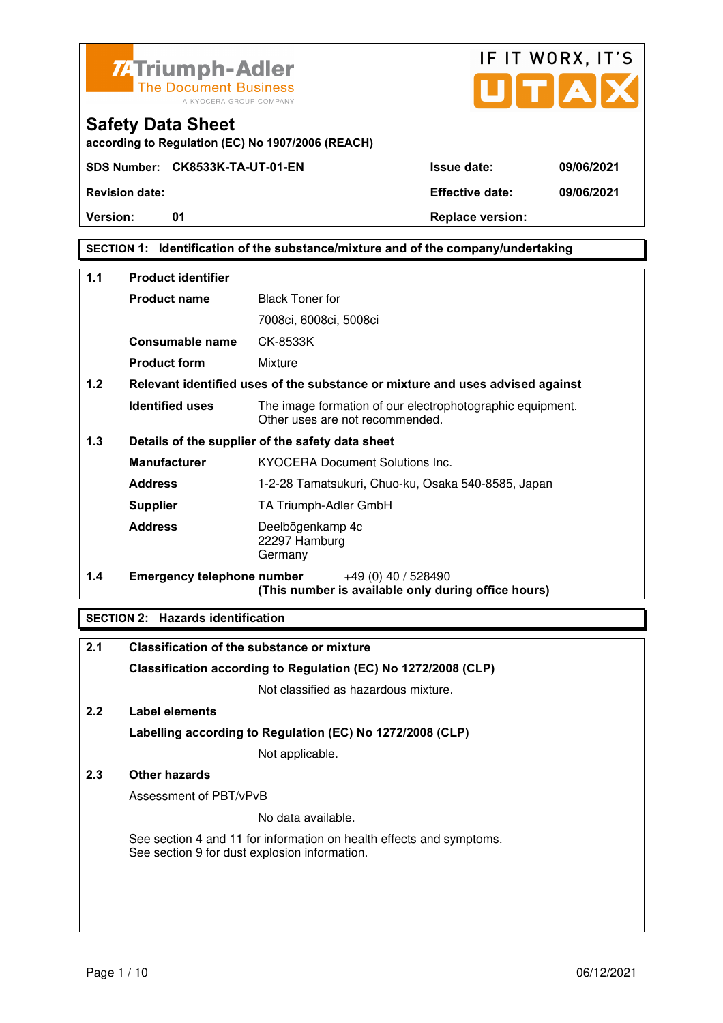

**Safety Data Sheet** 



**Version:** 01 **Depending to Provide Contract Provide Contract Provide Contract Provide Contract Provide Contract Provide Contract Provide Contract Provide Contract Provide Contract Provide Contract Provide Contract Provide** 

**SECTION 1: Identification of the substance/mixture and of the company/undertaking** 

| $1.1$ | <b>Product identifier</b>         |                                                                                              |  |
|-------|-----------------------------------|----------------------------------------------------------------------------------------------|--|
|       | <b>Product name</b>               | <b>Black Toner for</b>                                                                       |  |
|       |                                   | 7008ci, 6008ci, 5008ci                                                                       |  |
|       | Consumable name                   | CK-8533K                                                                                     |  |
|       | <b>Product form</b>               | Mixture                                                                                      |  |
| 1.2   |                                   | Relevant identified uses of the substance or mixture and uses advised against                |  |
|       | <b>Identified uses</b>            | The image formation of our electrophotographic equipment.<br>Other uses are not recommended. |  |
| 1.3   |                                   | Details of the supplier of the safety data sheet                                             |  |
|       | <b>Manufacturer</b>               | <b>KYOCERA Document Solutions Inc.</b>                                                       |  |
|       | <b>Address</b>                    | 1-2-28 Tamatsukuri, Chuo-ku, Osaka 540-8585, Japan                                           |  |
|       | <b>Supplier</b>                   | TA Triumph-Adler GmbH                                                                        |  |
|       | <b>Address</b>                    | Deelbögenkamp 4c<br>22297 Hamburg<br>Germany                                                 |  |
| 1.4   | <b>Emergency telephone number</b> | $+49(0)$ 40 / 528490<br>(This number is available only during office hours)                  |  |

### **SECTION 2: Hazards identification**

| 2.1 | <b>Classification of the substance or mixture</b>                                                                     |
|-----|-----------------------------------------------------------------------------------------------------------------------|
|     | Classification according to Regulation (EC) No 1272/2008 (CLP)                                                        |
|     | Not classified as hazardous mixture.                                                                                  |
| 2.2 | Label elements                                                                                                        |
|     | Labelling according to Regulation (EC) No 1272/2008 (CLP)                                                             |
|     | Not applicable.                                                                                                       |
| 2.3 | Other hazards                                                                                                         |
|     | Assessment of PBT/vPvB                                                                                                |
|     | No data available.                                                                                                    |
|     | See section 4 and 11 for information on health effects and symptoms.<br>See section 9 for dust explosion information. |
|     |                                                                                                                       |
|     |                                                                                                                       |
|     |                                                                                                                       |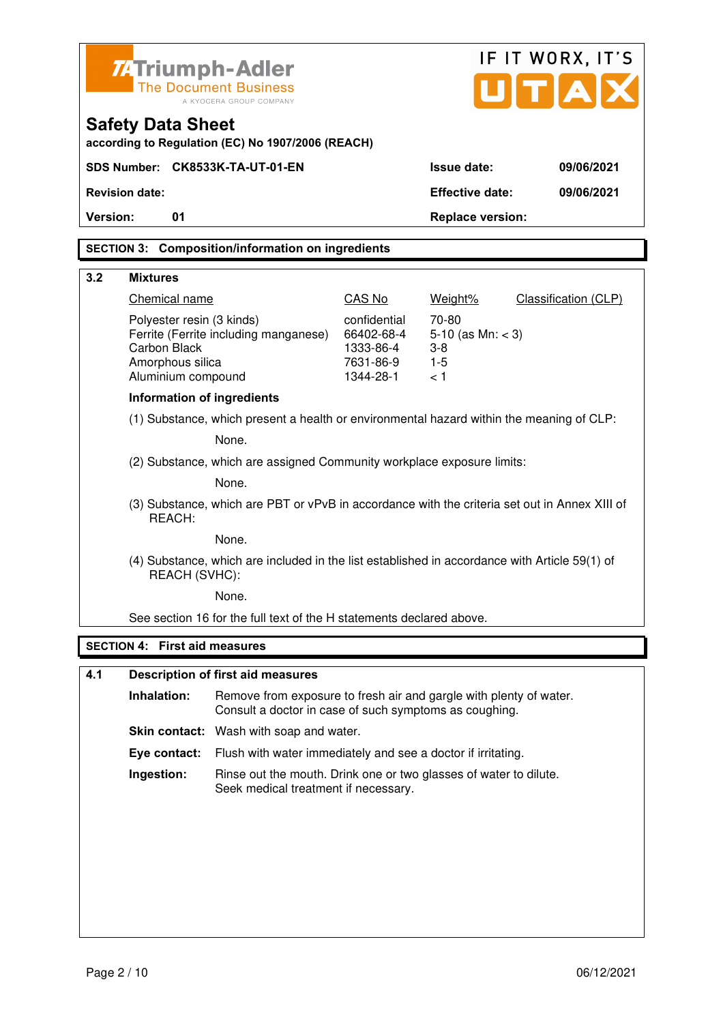|                              | Z-Triumph-Adler                        |                                                                                                                              |                            |                               | IF IT WORX, IT'S            |
|------------------------------|----------------------------------------|------------------------------------------------------------------------------------------------------------------------------|----------------------------|-------------------------------|-----------------------------|
| <b>The Document Business</b> |                                        |                                                                                                                              |                            | UTAI                          |                             |
|                              |                                        | A KYOCERA GROUP COMPANY                                                                                                      |                            |                               |                             |
|                              | <b>Safety Data Sheet</b>               | according to Regulation (EC) No 1907/2006 (REACH)                                                                            |                            |                               |                             |
|                              |                                        | SDS Number: CK8533K-TA-UT-01-EN                                                                                              |                            | <b>Issue date:</b>            | 09/06/2021                  |
|                              | <b>Revision date:</b>                  |                                                                                                                              |                            | <b>Effective date:</b>        | 09/06/2021                  |
| Version:                     | 01                                     |                                                                                                                              |                            | <b>Replace version:</b>       |                             |
|                              |                                        | <b>SECTION 3: Composition/information on ingredients</b>                                                                     |                            |                               |                             |
|                              |                                        |                                                                                                                              |                            |                               |                             |
| 3.2                          | <b>Mixtures</b>                        |                                                                                                                              |                            |                               |                             |
|                              | Chemical name                          |                                                                                                                              | CAS No                     | Weight%                       | <b>Classification (CLP)</b> |
|                              | Polyester resin (3 kinds)              | Ferrite (Ferrite including manganese)                                                                                        | confidential<br>66402-68-4 | 70-80<br>5-10 (as $Mn: < 3$ ) |                             |
|                              | <b>Carbon Black</b>                    |                                                                                                                              | 1333-86-4                  | 3-8                           |                             |
|                              | Amorphous silica<br>Aluminium compound |                                                                                                                              | 7631-86-9<br>1344-28-1     | $1 - 5$<br>< 1                |                             |
|                              | <b>Information of ingredients</b>      |                                                                                                                              |                            |                               |                             |
|                              |                                        |                                                                                                                              |                            |                               |                             |
|                              |                                        | (1) Substance, which present a health or environmental hazard within the meaning of CLP:<br>None.                            |                            |                               |                             |
|                              |                                        |                                                                                                                              |                            |                               |                             |
|                              |                                        | (2) Substance, which are assigned Community workplace exposure limits:                                                       |                            |                               |                             |
|                              |                                        | None.                                                                                                                        |                            |                               |                             |
|                              | REACH:                                 | (3) Substance, which are PBT or vPvB in accordance with the criteria set out in Annex XIII of                                |                            |                               |                             |
|                              |                                        | None.                                                                                                                        |                            |                               |                             |
|                              | REACH (SVHC):                          | (4) Substance, which are included in the list established in accordance with Article 59(1) of                                |                            |                               |                             |
|                              |                                        | None.                                                                                                                        |                            |                               |                             |
|                              |                                        | See section 16 for the full text of the H statements declared above.                                                         |                            |                               |                             |
|                              | <b>SECTION 4: First aid measures</b>   |                                                                                                                              |                            |                               |                             |
|                              |                                        |                                                                                                                              |                            |                               |                             |
| 4.1                          |                                        | <b>Description of first aid measures</b>                                                                                     |                            |                               |                             |
|                              | Inhalation:                            | Remove from exposure to fresh air and gargle with plenty of water.<br>Consult a doctor in case of such symptoms as coughing. |                            |                               |                             |
|                              |                                        | <b>Skin contact:</b> Wash with soap and water.                                                                               |                            |                               |                             |
|                              | Eye contact:                           | Flush with water immediately and see a doctor if irritating.                                                                 |                            |                               |                             |

**Ingestion:** Rinse out the mouth. Drink one or two glasses of water to dilute. Seek medical treatment if necessary.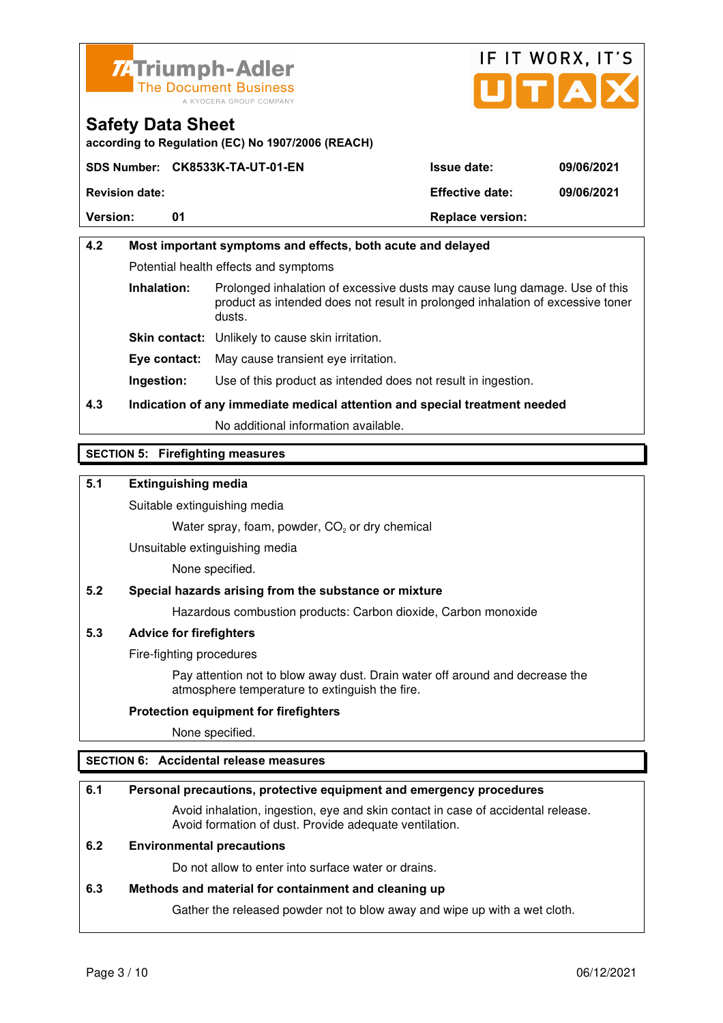



**according to Regulation (EC) No 1907/2006 (REACH)**

|                       | SDS Number: CK8533K-TA-UT-01-EN | <b>Issue date:</b>      | 09/06/2021 |
|-----------------------|---------------------------------|-------------------------|------------|
| <b>Revision date:</b> |                                 | <b>Effective date:</b>  | 09/06/2021 |
| <b>Version:</b>       | 01                              | <b>Replace version:</b> |            |

## **4.2 Most important symptoms and effects, both acute and delayed**  Potential health effects and symptoms **Inhalation:** Prolonged inhalation of excessive dusts may cause lung damage. Use of this product as intended does not result in prolonged inhalation of excessive toner dusts. **Skin contact:** Unlikely to cause skin irritation. **Eye contact:** May cause transient eye irritation.

**Ingestion:** Use of this product as intended does not result in ingestion.

## **4.3 Indication of any immediate medical attention and special treatment needed**

No additional information available.

### **SECTION 5: Firefighting measures**

### **5.1 Extinguishing media**

Suitable extinguishing media

Water spray, foam, powder,  $CO<sub>2</sub>$  or dry chemical

Unsuitable extinguishing media

None specified.

#### **5.2 Special hazards arising from the substance or mixture**

Hazardous combustion products: Carbon dioxide, Carbon monoxide

#### **5.3 Advice for firefighters**

Fire-fighting procedures

 Pay attention not to blow away dust. Drain water off around and decrease the atmosphere temperature to extinguish the fire.

#### **Protection equipment for firefighters**

None specified.

#### **SECTION 6: Accidental release measures**

#### **6.1 Personal precautions, protective equipment and emergency procedures**

 Avoid inhalation, ingestion, eye and skin contact in case of accidental release. Avoid formation of dust. Provide adequate ventilation.

#### **6.2 Environmental precautions**

Do not allow to enter into surface water or drains.

#### **6.3 Methods and material for containment and cleaning up**

Gather the released powder not to blow away and wipe up with a wet cloth.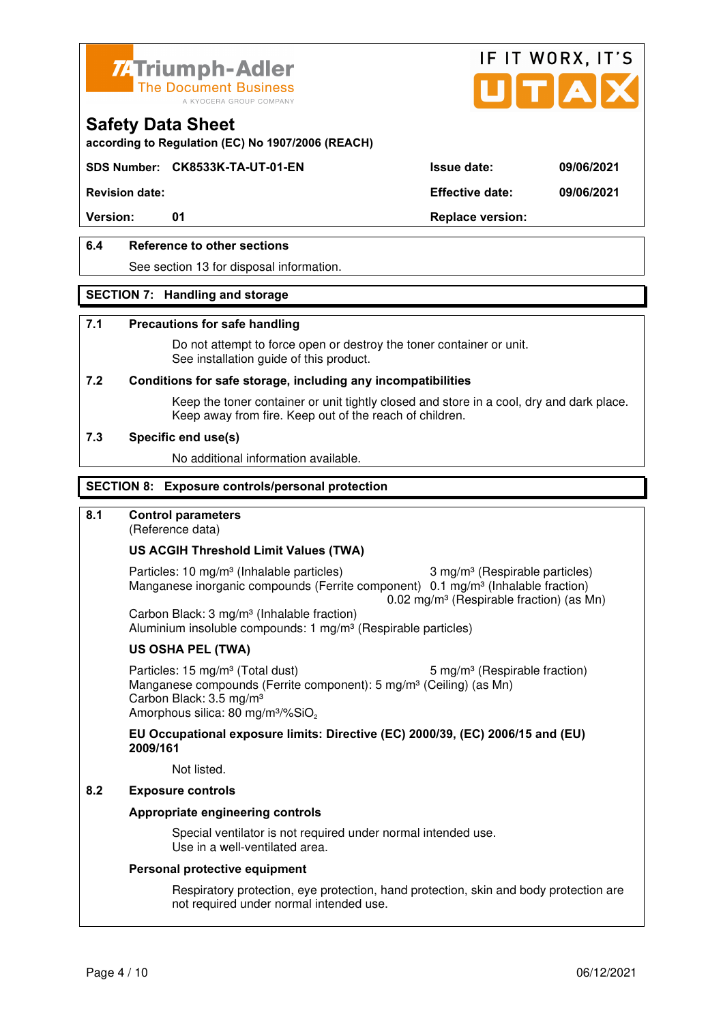



**according to Regulation (EC) No 1907/2006 (REACH)**

### **SDS Number: CK8533K-TA-UT-01-EN Issue date: 09/06/2021**

**Revision date: Effective date: 09/06/2021** 

Version: 01 01 **Replace version:** 

### **6.4 Reference to other sections**

See section 13 for disposal information.

#### **SECTION 7: Handling and storage**

#### **7.1 Precautions for safe handling**

 Do not attempt to force open or destroy the toner container or unit. See installation guide of this product.

#### **7.2 Conditions for safe storage, including any incompatibilities**

Keep the toner container or unit tightly closed and store in a cool, dry and dark place. Keep away from fire. Keep out of the reach of children.

#### **7.3 Specific end use(s)**

No additional information available.

#### **SECTION 8: Exposure controls/personal protection**

#### **8.1 Control parameters**

(Reference data)

#### **US ACGIH Threshold Limit Values (TWA)**

Particles: 10 mg/m<sup>3</sup> (Inhalable particles) 3 mg/m<sup>3</sup> (Respirable particles) Manganese inorganic compounds (Ferrite component) 0.1 mg/m<sup>3</sup> (Inhalable fraction)  $0.02$  mg/m<sup>3</sup> (Respirable fraction) (as Mn)

 Carbon Black: 3 mg/m³ (Inhalable fraction) Aluminium insoluble compounds: 1 mg/m<sup>3</sup> (Respirable particles)

#### **US OSHA PEL (TWA)**

Particles: 15 mg/m<sup>3</sup> (Total dust) 5 mg/m<sup>3</sup> (Respirable fraction) Manganese compounds (Ferrite component): 5 mg/m<sup>3</sup> (Ceiling) (as Mn) Carbon Black: 3.5 mg/m³ Amorphous silica: 80 mg/m<sup>3</sup>/%SiO<sub>2</sub>

#### **EU Occupational exposure limits: Directive (EC) 2000/39, (EC) 2006/15 and (EU) 2009/161**

Not listed.

### **8.2 Exposure controls**

#### **Appropriate engineering controls**

 Special ventilator is not required under normal intended use. Use in a well-ventilated area.

#### **Personal protective equipment**

 Respiratory protection, eye protection, hand protection, skin and body protection are not required under normal intended use.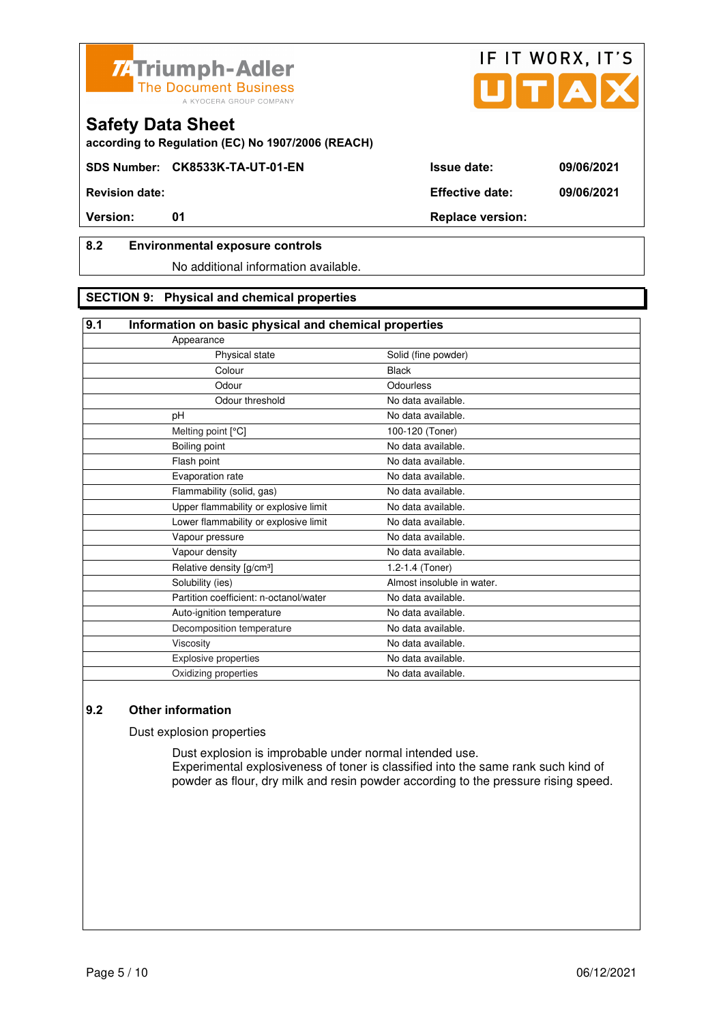



**SDS Number: CK8533K-TA-UT-01-EN Issue date: 09/06/2021** 

**Revision date: Effective date: 09/06/2021** 

## **8.2 Environmental exposure controls**

No additional information available.

## **SECTION 9: Physical and chemical properties**

#### **9.1 Information on basic physical and chemical properties**

| Solid (fine powder)        |
|----------------------------|
| <b>Black</b>               |
| Odourless                  |
| No data available.         |
| No data available.         |
| 100-120 (Toner)            |
| No data available.         |
| No data available.         |
| No data available.         |
| No data available.         |
| No data available.         |
| No data available.         |
| No data available.         |
| No data available.         |
| 1.2-1.4 (Toner)            |
| Almost insoluble in water. |
| No data available.         |
| No data available.         |
| No data available.         |
| No data available.         |
| No data available.         |
| No data available.         |
|                            |

## **9.2 Other information**

Dust explosion properties

 Dust explosion is improbable under normal intended use. Experimental explosiveness of toner is classified into the same rank such kind of powder as flour, dry milk and resin powder according to the pressure rising speed.

IF IT WORX, IT'S

**Version:** 01 01 Replace version: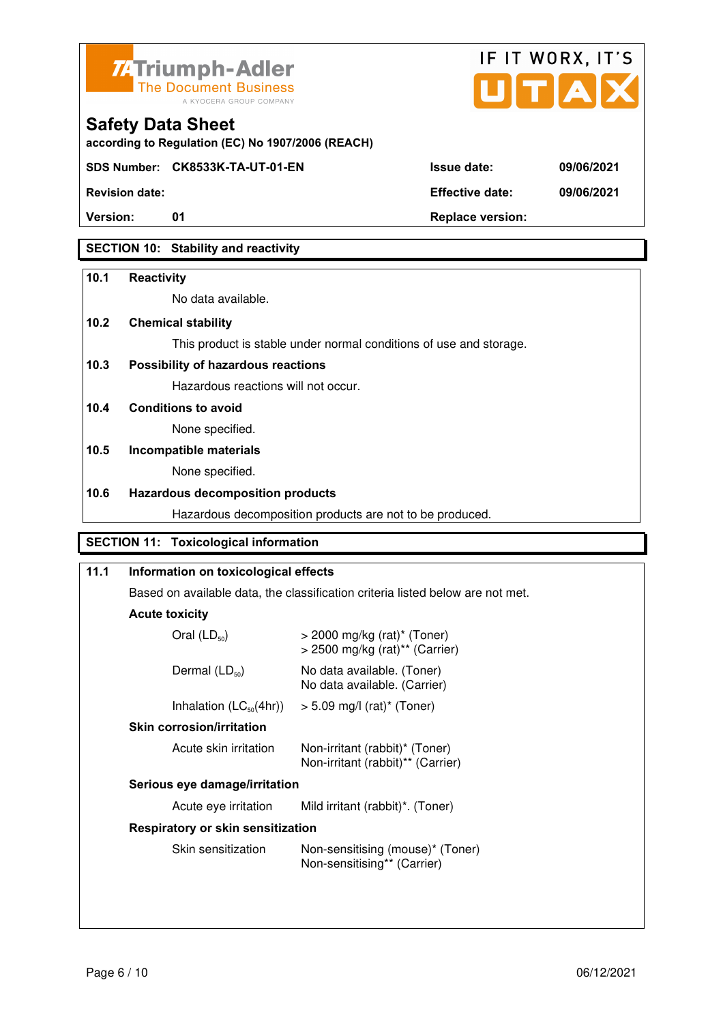



**according to Regulation (EC) No 1907/2006 (REACH)**

**SDS Number: CK8533K-TA-UT-01-EN Issue date: 09/06/2021** 

**Revision date: Effective date: 09/06/2021** 

**Version:** 01 **Depending to Provide Contract Provide Contract Provide Contract Provide Contract Provide Contract Provide Contract Provide Contract Provide Contract Provide Contract Provide Contract Provide Contract Provide** 

## **SECTION 10: Stability and reactivity**

#### **10.1 Reactivity**

No data available.

## **10.2 Chemical stability**

This product is stable under normal conditions of use and storage.

## **10.3 Possibility of hazardous reactions**

Hazardous reactions will not occur.

**10.4 Conditions to avoid** 

None specified.

## **10.5 Incompatible materials**

None specified.

### **10.6 Hazardous decomposition products**

Hazardous decomposition products are not to be produced.

## **SECTION 11: Toxicological information**

| 11.1 | Information on toxicological effects<br>Based on available data, the classification criteria listed below are not met. |                                                                               |
|------|------------------------------------------------------------------------------------------------------------------------|-------------------------------------------------------------------------------|
|      |                                                                                                                        |                                                                               |
|      | <b>Acute toxicity</b>                                                                                                  |                                                                               |
|      | Oral $(LD_{50})$                                                                                                       | $>$ 2000 mg/kg (rat)* (Toner)<br>$>$ 2500 mg/kg (rat) <sup>**</sup> (Carrier) |
|      | Dermal $(LD_{50})$                                                                                                     | No data available. (Toner)<br>No data available. (Carrier)                    |
|      | Inhalation $(LC_{50}(4hr))$                                                                                            | $>$ 5.09 mg/l (rat) <sup>*</sup> (Toner)                                      |
|      | <b>Skin corrosion/irritation</b>                                                                                       |                                                                               |
|      | Acute skin irritation                                                                                                  | Non-irritant (rabbit)* (Toner)<br>Non-irritant (rabbit)** (Carrier)           |
|      | Serious eye damage/irritation                                                                                          |                                                                               |
|      | Acute eye irritation<br>Mild irritant (rabbit)*. (Toner)<br><b>Respiratory or skin sensitization</b>                   |                                                                               |
|      |                                                                                                                        |                                                                               |
|      | Skin sensitization                                                                                                     | Non-sensitising (mouse)* (Toner)<br>Non-sensitising** (Carrier)               |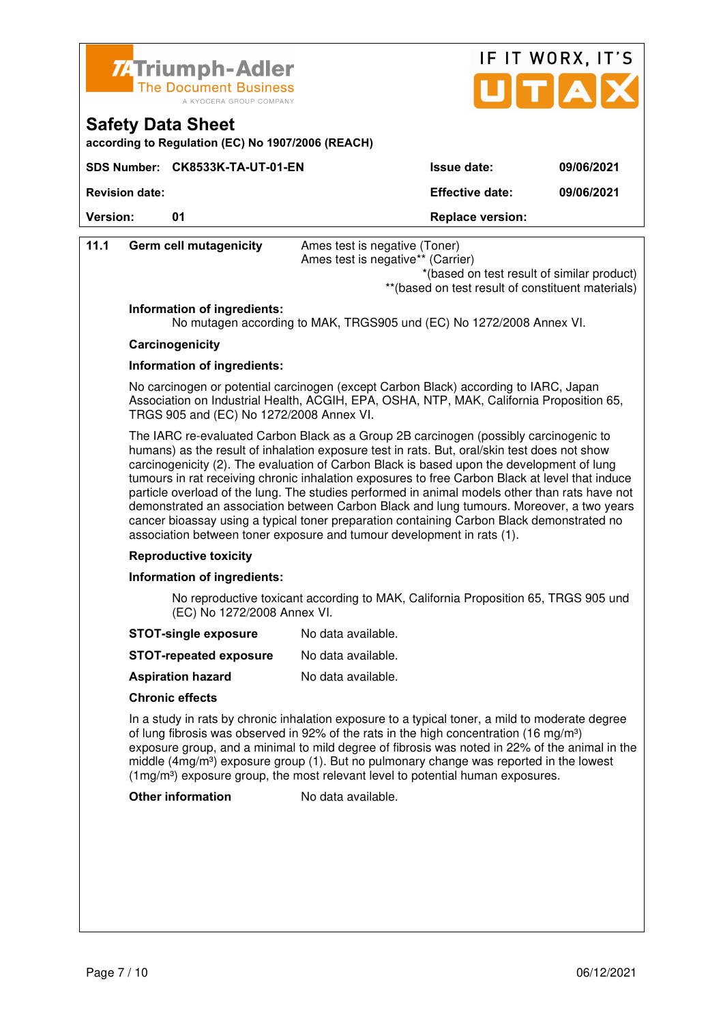



**according to Regulation (EC) No 1907/2006 (REACH)**

|                       | SDS Number: CK8533K-TA-UT-01-EN | <b>Issue date:</b>      | 09/06/2021 |
|-----------------------|---------------------------------|-------------------------|------------|
| <b>Revision date:</b> |                                 | <b>Effective date:</b>  | 09/06/2021 |
| <b>Version:</b>       | ุก1                             | <b>Replace version:</b> |            |

| 11.1 | <b>Germ cell mutagenicity</b>            | Ames test is negative (Toner)                                                                                                                                                                                                                                                                                                                                                                                                                                                                                                                                                                                                                                                                                                                              |
|------|------------------------------------------|------------------------------------------------------------------------------------------------------------------------------------------------------------------------------------------------------------------------------------------------------------------------------------------------------------------------------------------------------------------------------------------------------------------------------------------------------------------------------------------------------------------------------------------------------------------------------------------------------------------------------------------------------------------------------------------------------------------------------------------------------------|
|      |                                          | Ames test is negative** (Carrier)<br>*(based on test result of similar product)                                                                                                                                                                                                                                                                                                                                                                                                                                                                                                                                                                                                                                                                            |
|      |                                          | ** (based on test result of constituent materials)                                                                                                                                                                                                                                                                                                                                                                                                                                                                                                                                                                                                                                                                                                         |
|      | Information of ingredients:              |                                                                                                                                                                                                                                                                                                                                                                                                                                                                                                                                                                                                                                                                                                                                                            |
|      |                                          | No mutagen according to MAK, TRGS905 und (EC) No 1272/2008 Annex VI.                                                                                                                                                                                                                                                                                                                                                                                                                                                                                                                                                                                                                                                                                       |
|      | Carcinogenicity                          |                                                                                                                                                                                                                                                                                                                                                                                                                                                                                                                                                                                                                                                                                                                                                            |
|      | Information of ingredients:              |                                                                                                                                                                                                                                                                                                                                                                                                                                                                                                                                                                                                                                                                                                                                                            |
|      | TRGS 905 and (EC) No 1272/2008 Annex VI. | No carcinogen or potential carcinogen (except Carbon Black) according to IARC, Japan<br>Association on Industrial Health, ACGIH, EPA, OSHA, NTP, MAK, California Proposition 65,                                                                                                                                                                                                                                                                                                                                                                                                                                                                                                                                                                           |
|      |                                          | The IARC re-evaluated Carbon Black as a Group 2B carcinogen (possibly carcinogenic to<br>humans) as the result of inhalation exposure test in rats. But, oral/skin test does not show<br>carcinogenicity (2). The evaluation of Carbon Black is based upon the development of lung<br>tumours in rat receiving chronic inhalation exposures to free Carbon Black at level that induce<br>particle overload of the lung. The studies performed in animal models other than rats have not<br>demonstrated an association between Carbon Black and lung tumours. Moreover, a two years<br>cancer bioassay using a typical toner preparation containing Carbon Black demonstrated no<br>association between toner exposure and tumour development in rats (1). |
|      | <b>Reproductive toxicity</b>             |                                                                                                                                                                                                                                                                                                                                                                                                                                                                                                                                                                                                                                                                                                                                                            |
|      | Information of ingredients:              |                                                                                                                                                                                                                                                                                                                                                                                                                                                                                                                                                                                                                                                                                                                                                            |
|      | (EC) No 1272/2008 Annex VI.              | No reproductive toxicant according to MAK, California Proposition 65, TRGS 905 und                                                                                                                                                                                                                                                                                                                                                                                                                                                                                                                                                                                                                                                                         |
|      | <b>STOT-single exposure</b>              | No data available.                                                                                                                                                                                                                                                                                                                                                                                                                                                                                                                                                                                                                                                                                                                                         |
|      | <b>STOT-repeated exposure</b>            | No data available.                                                                                                                                                                                                                                                                                                                                                                                                                                                                                                                                                                                                                                                                                                                                         |
|      | <b>Aspiration hazard</b>                 | No data available.                                                                                                                                                                                                                                                                                                                                                                                                                                                                                                                                                                                                                                                                                                                                         |
|      | <b>Chronic effects</b>                   |                                                                                                                                                                                                                                                                                                                                                                                                                                                                                                                                                                                                                                                                                                                                                            |
|      |                                          | In a study in rats by chronic inhalation exposure to a typical toner, a mild to moderate degree<br>of lung fibrosis was observed in 92% of the rats in the high concentration (16 mg/m <sup>3</sup> )<br>exposure group, and a minimal to mild degree of fibrosis was noted in 22% of the animal in the<br>middle $(4mg/m3)$ exposure group (1). But no pulmonary change was reported in the lowest<br>(1mg/m <sup>3</sup> ) exposure group, the most relevant level to potential human exposures.                                                                                                                                                                                                                                                         |
|      | <b>Other information</b>                 | No data available.                                                                                                                                                                                                                                                                                                                                                                                                                                                                                                                                                                                                                                                                                                                                         |
|      |                                          |                                                                                                                                                                                                                                                                                                                                                                                                                                                                                                                                                                                                                                                                                                                                                            |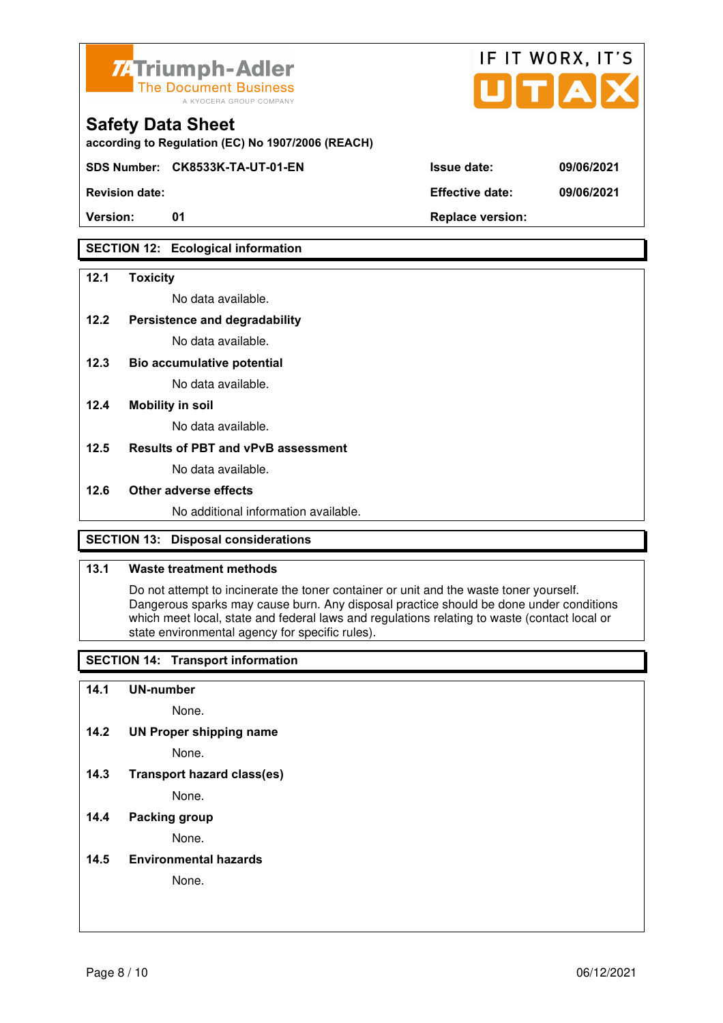

**according to Regulation (EC) No 1907/2006 (REACH)**

**SDS Number: CK8533K-TA-UT-01-EN Issue date: 09/06/2021** 

## **SECTION 12: Ecological information**

#### **12.1 Toxicity**

No data available.

#### **12.2 Persistence and degradability**

No data available.

**12.3 Bio accumulative potential** 

No data available.

#### **12.4 Mobility in soil**

No data available.

#### **12.5 Results of PBT and vPvB assessment**

No data available.

#### **12.6 Other adverse effects**

No additional information available.

## **SECTION 13: Disposal considerations**

#### **13.1 Waste treatment methods**

 Do not attempt to incinerate the toner container or unit and the waste toner yourself. Dangerous sparks may cause burn. Any disposal practice should be done under conditions which meet local, state and federal laws and regulations relating to waste (contact local or state environmental agency for specific rules).

## **SECTION 14: Transport information**

#### **14.1 UN-number**

None.

**14.2 UN Proper shipping name** 

None.

**14.3 Transport hazard class(es)** 

None.

## **14.4 Packing group**

None.

#### **14.5 Environmental hazards**

None.

| <b>Revision date:</b> | <b>Effective date:</b> | 09/06/2021 |
|-----------------------|------------------------|------------|

IF IT WORX, IT'S

Version: 01 01 **Replace version:**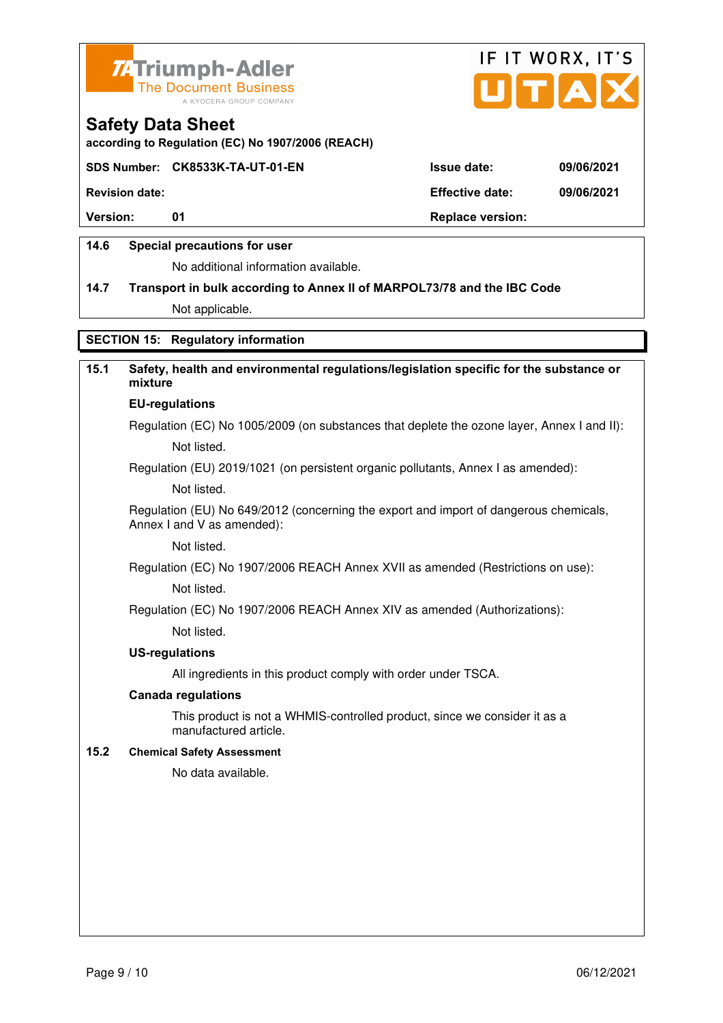



**according to Regulation (EC) No 1907/2006 (REACH)**

#### **SDS Number: CK8533K-TA-UT-01-EN Issue date: 09/06/2021**

**Revision date: Effective date: 09/06/2021** 

**Version:** 01 **Depending to 201 Replace version:** 

#### **14.6 Special precautions for user**

No additional information available.

## **14.7 Transport in bulk according to Annex II of MARPOL73/78 and the IBC Code**

Not applicable.

## **SECTION 15: Regulatory information**

## **15.1 Safety, health and environmental regulations/legislation specific for the substance or mixture**

## **EU-regulations**

Regulation (EC) No 1005/2009 (on substances that deplete the ozone layer, Annex I and II): Not listed.

Regulation (EU) 2019/1021 (on persistent organic pollutants, Annex I as amended):

Not listed.

 Regulation (EU) No 649/2012 (concerning the export and import of dangerous chemicals, Annex I and V as amended):

Not listed.

 Regulation (EC) No 1907/2006 REACH Annex XVII as amended (Restrictions on use): Not listed.

Regulation (EC) No 1907/2006 REACH Annex XIV as amended (Authorizations):

Not listed.

#### **US-regulations**

All ingredients in this product comply with order under TSCA.

#### **Canada regulations**

 This product is not a WHMIS-controlled product, since we consider it as a manufactured article.

#### **15.2 Chemical Safety Assessment**

No data available.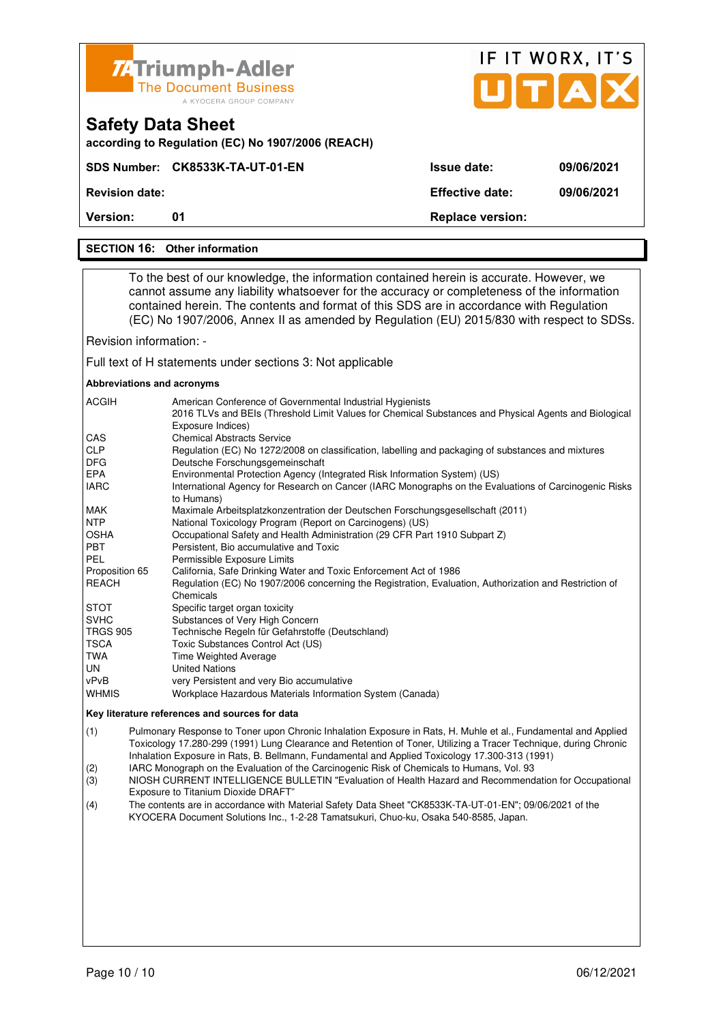| <b>ZATriumph-Adler</b><br><b>The Document Business</b> |
|--------------------------------------------------------|
| A KYOCERA GROUP COMPANY                                |

**SDS Number: CK8533K-TA-UT-01-EN** 

**according to Regulation (EC) No 1907/2006 (REACH)**

| JITA               | IF II WURX, II 5 |
|--------------------|------------------|
| <b>Issue date:</b> | 09/06/2021       |
|                    |                  |

 $F \times M \times N$ 

 $\sim$   $\sim$   $\sim$ 

**Revision date: Effective date: 09/06/2021** 

**Version:** 01 **Replace version: 01 Replace version:** 

#### **SECTION 16: Other information**

**Safety Data Sheet** 

 To the best of our knowledge, the information contained herein is accurate. However, we cannot assume any liability whatsoever for the accuracy or completeness of the information contained herein. The contents and format of this SDS are in accordance with Regulation (EC) No 1907/2006, Annex II as amended by Regulation (EU) 2015/830 with respect to SDSs.

Revision information: -

Full text of H statements under sections 3: Not applicable

#### **Abbreviations and acronyms**

| <b>ACGIH</b>    | American Conference of Governmental Industrial Hygienists                                                                  |
|-----------------|----------------------------------------------------------------------------------------------------------------------------|
|                 | 2016 TLVs and BEIs (Threshold Limit Values for Chemical Substances and Physical Agents and Biological<br>Exposure Indices) |
| <b>CAS</b>      | <b>Chemical Abstracts Service</b>                                                                                          |
| <b>CLP</b>      | Regulation (EC) No 1272/2008 on classification, labelling and packaging of substances and mixtures                         |
| <b>DFG</b>      | Deutsche Forschungsgemeinschaft                                                                                            |
| <b>EPA</b>      | Environmental Protection Agency (Integrated Risk Information System) (US)                                                  |
| <b>IARC</b>     | International Agency for Research on Cancer (IARC Monographs on the Evaluations of Carcinogenic Risks<br>to Humans)        |
| MAK             | Maximale Arbeitsplatzkonzentration der Deutschen Forschungsgesellschaft (2011)                                             |
| <b>NTP</b>      | National Toxicology Program (Report on Carcinogens) (US)                                                                   |
| <b>OSHA</b>     | Occupational Safety and Health Administration (29 CFR Part 1910 Subpart Z)                                                 |
| <b>PBT</b>      | Persistent, Bio accumulative and Toxic                                                                                     |
| <b>PEL</b>      | Permissible Exposure Limits                                                                                                |
| Proposition 65  | California, Safe Drinking Water and Toxic Enforcement Act of 1986                                                          |
| <b>REACH</b>    | Regulation (EC) No 1907/2006 concerning the Registration, Evaluation, Authorization and Restriction of                     |
|                 | Chemicals                                                                                                                  |
| <b>STOT</b>     | Specific target organ toxicity                                                                                             |
| <b>SVHC</b>     | Substances of Very High Concern                                                                                            |
| <b>TRGS 905</b> | Technische Regeln für Gefahrstoffe (Deutschland)                                                                           |
| <b>TSCA</b>     | Toxic Substances Control Act (US)                                                                                          |
| TWA             | Time Weighted Average                                                                                                      |
| UN              | <b>United Nations</b>                                                                                                      |
| vPvB            | very Persistent and very Bio accumulative                                                                                  |
| <b>WHMIS</b>    | Workplace Hazardous Materials Information System (Canada)                                                                  |

#### **Key literature references and sources for data**

(1) Pulmonary Response to Toner upon Chronic Inhalation Exposure in Rats, H. Muhle et al., Fundamental and Applied Toxicology 17.280-299 (1991) Lung Clearance and Retention of Toner, Utilizing a Tracer Technique, during Chronic Inhalation Exposure in Rats, B. Bellmann, Fundamental and Applied Toxicology 17.300-313 (1991)

(2) IARC Monograph on the Evaluation of the Carcinogenic Risk of Chemicals to Humans, Vol. 93

(3) NIOSH CURRENT INTELLIGENCE BULLETIN "Evaluation of Health Hazard and Recommendation for Occupational Exposure to Titanium Dioxide DRAFT"

(4) The contents are in accordance with Material Safety Data Sheet "CK8533K-TA-UT-01-EN"; 09/06/2021 of the KYOCERA Document Solutions Inc., 1-2-28 Tamatsukuri, Chuo-ku, Osaka 540-8585, Japan.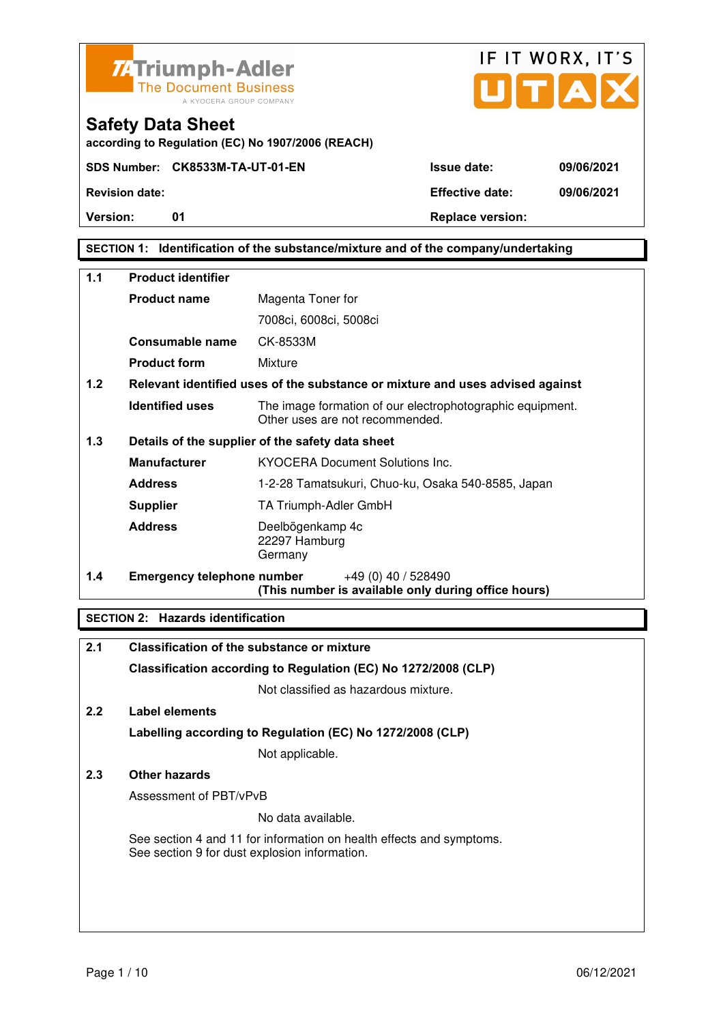

**Safety Data Sheet** 



**Version:** 01 **Depending to Provide Contract Provide Contract Provide Contract Provide Contract Provide Contract Provide Contract Provide Contract Provide Contract Provide Contract Provide Contract Provide Contract Provide** 

**SECTION 1: Identification of the substance/mixture and of the company/undertaking** 

| $1.1$ | <b>Product identifier</b>         |                                                                                              |  |
|-------|-----------------------------------|----------------------------------------------------------------------------------------------|--|
|       | <b>Product name</b>               | Magenta Toner for                                                                            |  |
|       |                                   | 7008ci, 6008ci, 5008ci                                                                       |  |
|       | Consumable name                   | CK-8533M                                                                                     |  |
|       | <b>Product form</b>               | Mixture                                                                                      |  |
| 1.2   |                                   | Relevant identified uses of the substance or mixture and uses advised against                |  |
|       | <b>Identified uses</b>            | The image formation of our electrophotographic equipment.<br>Other uses are not recommended. |  |
| 1.3   |                                   | Details of the supplier of the safety data sheet                                             |  |
|       | <b>Manufacturer</b>               | <b>KYOCERA Document Solutions Inc.</b>                                                       |  |
|       | <b>Address</b>                    | 1-2-28 Tamatsukuri, Chuo-ku, Osaka 540-8585, Japan                                           |  |
|       | <b>Supplier</b>                   | TA Triumph-Adler GmbH                                                                        |  |
|       | <b>Address</b>                    | Deelbögenkamp 4c<br>22297 Hamburg<br>Germany                                                 |  |
| 1.4   | <b>Emergency telephone number</b> | $+49(0)$ 40 / 528490<br>(This number is available only during office hours)                  |  |

### **SECTION 2: Hazards identification**

| 2.1 | <b>Classification of the substance or mixture</b>                                                                     |
|-----|-----------------------------------------------------------------------------------------------------------------------|
|     | Classification according to Regulation (EC) No 1272/2008 (CLP)                                                        |
|     | Not classified as hazardous mixture.                                                                                  |
| 2.2 | Label elements                                                                                                        |
|     | Labelling according to Regulation (EC) No 1272/2008 (CLP)                                                             |
|     | Not applicable.                                                                                                       |
| 2.3 | Other hazards                                                                                                         |
|     | Assessment of PBT/vPvB                                                                                                |
|     | No data available.                                                                                                    |
|     | See section 4 and 11 for information on health effects and symptoms.<br>See section 9 for dust explosion information. |
|     |                                                                                                                       |
|     |                                                                                                                       |
|     |                                                                                                                       |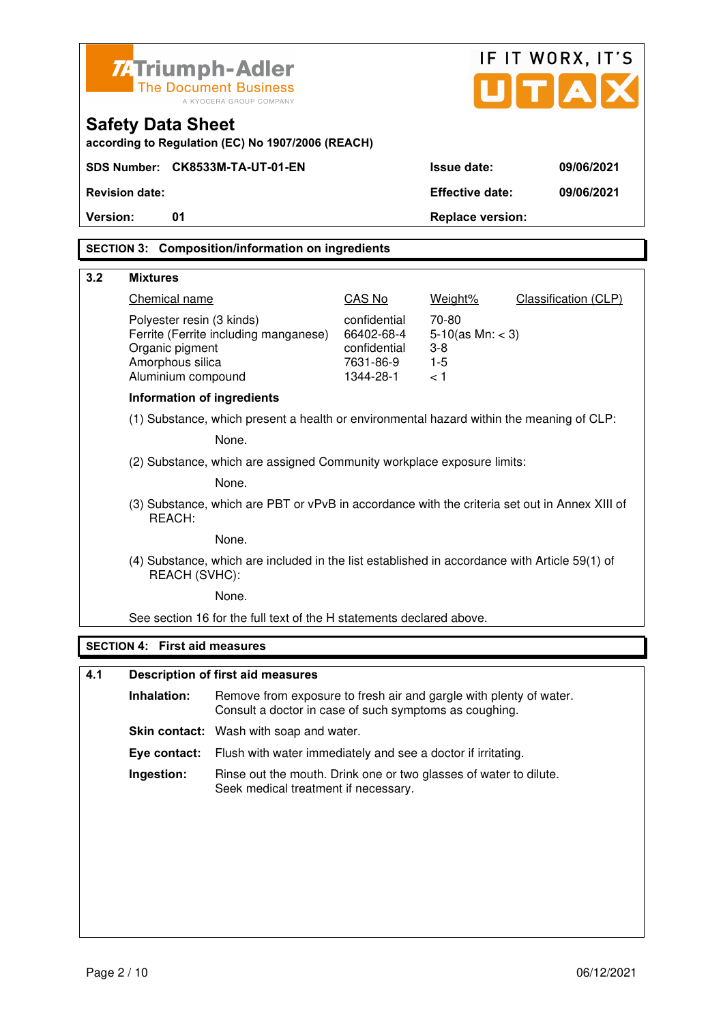| <b>ZATriumph-Adler</b><br><b>The Document Business</b><br>A KYOCERA GROUP COMPANY |                                                                                                                |                                                                                                                              |                                                                      | IF IT WORX, IT'S<br>U[T A]                             |                      |
|-----------------------------------------------------------------------------------|----------------------------------------------------------------------------------------------------------------|------------------------------------------------------------------------------------------------------------------------------|----------------------------------------------------------------------|--------------------------------------------------------|----------------------|
|                                                                                   | <b>Safety Data Sheet</b>                                                                                       | according to Regulation (EC) No 1907/2006 (REACH)                                                                            |                                                                      |                                                        |                      |
|                                                                                   |                                                                                                                | SDS Number: CK8533M-TA-UT-01-EN                                                                                              |                                                                      | <b>Issue date:</b>                                     | 09/06/2021           |
|                                                                                   | <b>Revision date:</b>                                                                                          |                                                                                                                              |                                                                      | <b>Effective date:</b>                                 | 09/06/2021           |
| Version:                                                                          | 01                                                                                                             |                                                                                                                              |                                                                      | <b>Replace version:</b>                                |                      |
|                                                                                   |                                                                                                                | <b>SECTION 3: Composition/information on ingredients</b>                                                                     |                                                                      |                                                        |                      |
| 3.2                                                                               | <b>Mixtures</b>                                                                                                |                                                                                                                              |                                                                      |                                                        |                      |
|                                                                                   | <b>Chemical name</b>                                                                                           |                                                                                                                              | CAS No                                                               | Weight%                                                | Classification (CLP) |
|                                                                                   | Polyester resin (3 kinds)<br>Organic pigment<br>Amorphous silica<br>Aluminium compound                         | Ferrite (Ferrite including manganese)                                                                                        | confidential<br>66402-68-4<br>confidential<br>7631-86-9<br>1344-28-1 | 70-80<br>5-10(as Mn: $<$ 3)<br>$3-8$<br>$1 - 5$<br>< 1 |                      |
|                                                                                   | <b>Information of ingredients</b>                                                                              |                                                                                                                              |                                                                      |                                                        |                      |
|                                                                                   | (1) Substance, which present a health or environmental hazard within the meaning of CLP:                       |                                                                                                                              |                                                                      |                                                        |                      |
|                                                                                   | None.                                                                                                          |                                                                                                                              |                                                                      |                                                        |                      |
|                                                                                   | (2) Substance, which are assigned Community workplace exposure limits:                                         |                                                                                                                              |                                                                      |                                                        |                      |
|                                                                                   |                                                                                                                | None.                                                                                                                        |                                                                      |                                                        |                      |
|                                                                                   | (3) Substance, which are PBT or vPvB in accordance with the criteria set out in Annex XIII of<br>REACH:        |                                                                                                                              |                                                                      |                                                        |                      |
|                                                                                   |                                                                                                                | None.                                                                                                                        |                                                                      |                                                        |                      |
|                                                                                   | (4) Substance, which are included in the list established in accordance with Article 59(1) of<br>REACH (SVHC): |                                                                                                                              |                                                                      |                                                        |                      |
|                                                                                   |                                                                                                                | None.                                                                                                                        |                                                                      |                                                        |                      |
|                                                                                   |                                                                                                                | See section 16 for the full text of the H statements declared above.                                                         |                                                                      |                                                        |                      |
|                                                                                   | <b>SECTION 4: First aid measures</b>                                                                           |                                                                                                                              |                                                                      |                                                        |                      |
| 4.1                                                                               |                                                                                                                | <b>Description of first aid measures</b>                                                                                     |                                                                      |                                                        |                      |
|                                                                                   | Inhalation:                                                                                                    | Remove from exposure to fresh air and gargle with plenty of water.<br>Consult a doctor in case of such symptoms as coughing. |                                                                      |                                                        |                      |
|                                                                                   |                                                                                                                | <b>Skin contact:</b> Wash with soap and water.                                                                               |                                                                      |                                                        |                      |
|                                                                                   | Eye contact:                                                                                                   | Flush with water immediately and see a doctor if irritating.                                                                 |                                                                      |                                                        |                      |

 **Ingestion:** Rinse out the mouth. Drink one or two glasses of water to dilute. Seek medical treatment if necessary.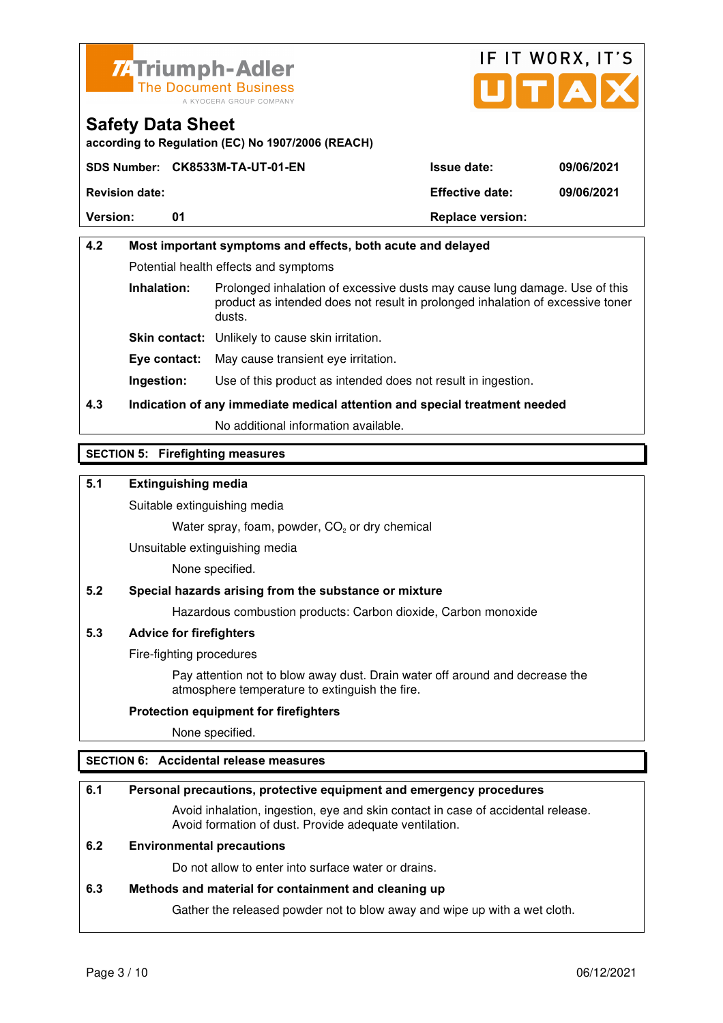



**according to Regulation (EC) No 1907/2006 (REACH)**

|                       | SDS Number: CK8533M-TA-UT-01-EN | <b>Issue date:</b>      | 09/06/2021 |
|-----------------------|---------------------------------|-------------------------|------------|
| <b>Revision date:</b> |                                 | <b>Effective date:</b>  | 09/06/2021 |
| <b>Version:</b>       | 01                              | <b>Replace version:</b> |            |

## **4.2 Most important symptoms and effects, both acute and delayed**  Potential health effects and symptoms **Inhalation:** Prolonged inhalation of excessive dusts may cause lung damage. Use of this product as intended does not result in prolonged inhalation of excessive toner dusts. **Skin contact:** Unlikely to cause skin irritation. **Eye contact:** May cause transient eye irritation.

**Ingestion:** Use of this product as intended does not result in ingestion.

## **4.3 Indication of any immediate medical attention and special treatment needed**

No additional information available.

## **SECTION 5: Firefighting measures**

### **5.1 Extinguishing media**

Suitable extinguishing media

Water spray, foam, powder,  $CO<sub>2</sub>$  or dry chemical

Unsuitable extinguishing media

None specified.

## **5.2 Special hazards arising from the substance or mixture**

Hazardous combustion products: Carbon dioxide, Carbon monoxide

#### **5.3 Advice for firefighters**

Fire-fighting procedures

 Pay attention not to blow away dust. Drain water off around and decrease the atmosphere temperature to extinguish the fire.

#### **Protection equipment for firefighters**

None specified.

## **SECTION 6: Accidental release measures**

#### **6.1 Personal precautions, protective equipment and emergency procedures**

 Avoid inhalation, ingestion, eye and skin contact in case of accidental release. Avoid formation of dust. Provide adequate ventilation.

#### **6.2 Environmental precautions**

Do not allow to enter into surface water or drains.

#### **6.3 Methods and material for containment and cleaning up**

Gather the released powder not to blow away and wipe up with a wet cloth.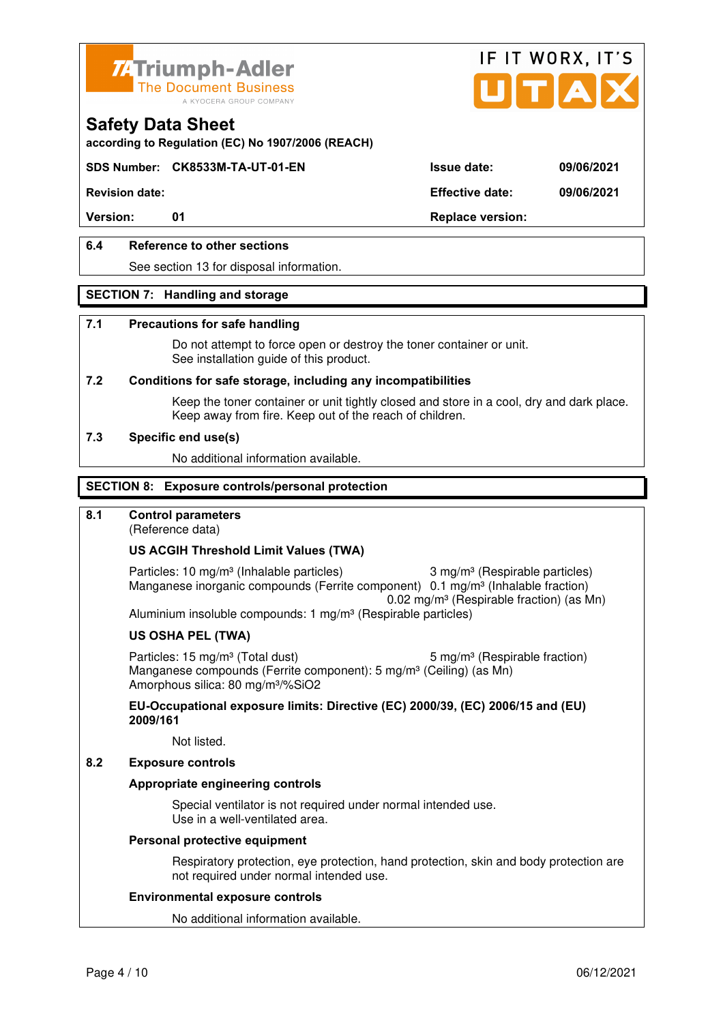



**according to Regulation (EC) No 1907/2006 (REACH)**

### **SDS Number: CK8533M-TA-UT-01-EN Issue date: 09/06/2021**

**Revision date: Effective date: 09/06/2021** 

Version: 01 01 **Replace version:** 

### **6.4 Reference to other sections**

See section 13 for disposal information.

#### **SECTION 7: Handling and storage**

#### **7.1 Precautions for safe handling**

 Do not attempt to force open or destroy the toner container or unit. See installation guide of this product.

#### **7.2 Conditions for safe storage, including any incompatibilities**

Keep the toner container or unit tightly closed and store in a cool, dry and dark place. Keep away from fire. Keep out of the reach of children.

#### **7.3 Specific end use(s)**

No additional information available.

#### **SECTION 8: Exposure controls/personal protection**

#### **8.1 Control parameters**

(Reference data)

#### **US ACGIH Threshold Limit Values (TWA)**

Particles: 10 mg/m<sup>3</sup> (Inhalable particles) 3 mg/m<sup>3</sup> (Respirable particles) Manganese inorganic compounds (Ferrite component) 0.1 mg/m<sup>3</sup> (Inhalable fraction) 0.02 mg/m³ (Respirable fraction) (as Mn) Aluminium insoluble compounds: 1 mg/m<sup>3</sup> (Respirable particles)

#### **US OSHA PEL (TWA)**

Particles: 15 mg/m<sup>3</sup> (Total dust) 5 mg/m<sup>3</sup> (Respirable fraction) Manganese compounds (Ferrite component): 5 mg/m<sup>3</sup> (Ceiling) (as Mn) Amorphous silica: 80 mg/m³/%SiO2

**EU-Occupational exposure limits: Directive (EC) 2000/39, (EC) 2006/15 and (EU) 2009/161**

Not listed.

#### **8.2 Exposure controls**

#### **Appropriate engineering controls**

 Special ventilator is not required under normal intended use. Use in a well-ventilated area.

#### **Personal protective equipment**

 Respiratory protection, eye protection, hand protection, skin and body protection are not required under normal intended use.

#### **Environmental exposure controls**

No additional information available.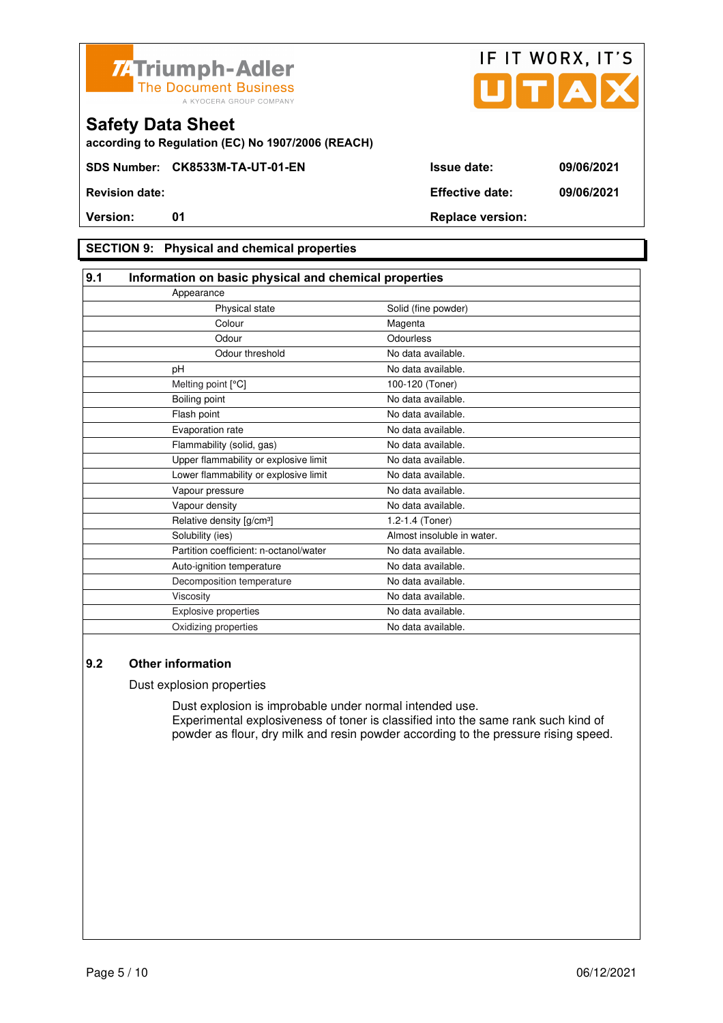



**according to Regulation (EC) No 1907/2006 (REACH)**

### **SECTION 9: Physical and chemical properties**

| 9.1                                    | Information on basic physical and chemical properties |  |  |
|----------------------------------------|-------------------------------------------------------|--|--|
| Appearance                             |                                                       |  |  |
| Physical state                         | Solid (fine powder)                                   |  |  |
| Colour                                 | Magenta                                               |  |  |
| Odour                                  | Odourless                                             |  |  |
| Odour threshold                        | No data available.                                    |  |  |
| pH                                     | No data available.                                    |  |  |
| Melting point [°C]                     | 100-120 (Toner)                                       |  |  |
| Boiling point                          | No data available.                                    |  |  |
| Flash point                            | No data available.                                    |  |  |
| Evaporation rate                       | No data available.                                    |  |  |
| Flammability (solid, gas)              | No data available.                                    |  |  |
| Upper flammability or explosive limit  | No data available.                                    |  |  |
| Lower flammability or explosive limit  | No data available.                                    |  |  |
| Vapour pressure                        | No data available.                                    |  |  |
| Vapour density                         | No data available.                                    |  |  |
| Relative density [g/cm <sup>3</sup> ]  | 1.2-1.4 (Toner)                                       |  |  |
| Solubility (ies)                       | Almost insoluble in water.                            |  |  |
| Partition coefficient: n-octanol/water | No data available.                                    |  |  |
| Auto-ignition temperature              | No data available.                                    |  |  |
| Decomposition temperature              | No data available.                                    |  |  |
| Viscosity                              | No data available.                                    |  |  |
| <b>Explosive properties</b>            | No data available.                                    |  |  |
| Oxidizing properties                   | No data available.                                    |  |  |

### **9.2 Other information**

Dust explosion properties

 Dust explosion is improbable under normal intended use. Experimental explosiveness of toner is classified into the same rank such kind of powder as flour, dry milk and resin powder according to the pressure rising speed.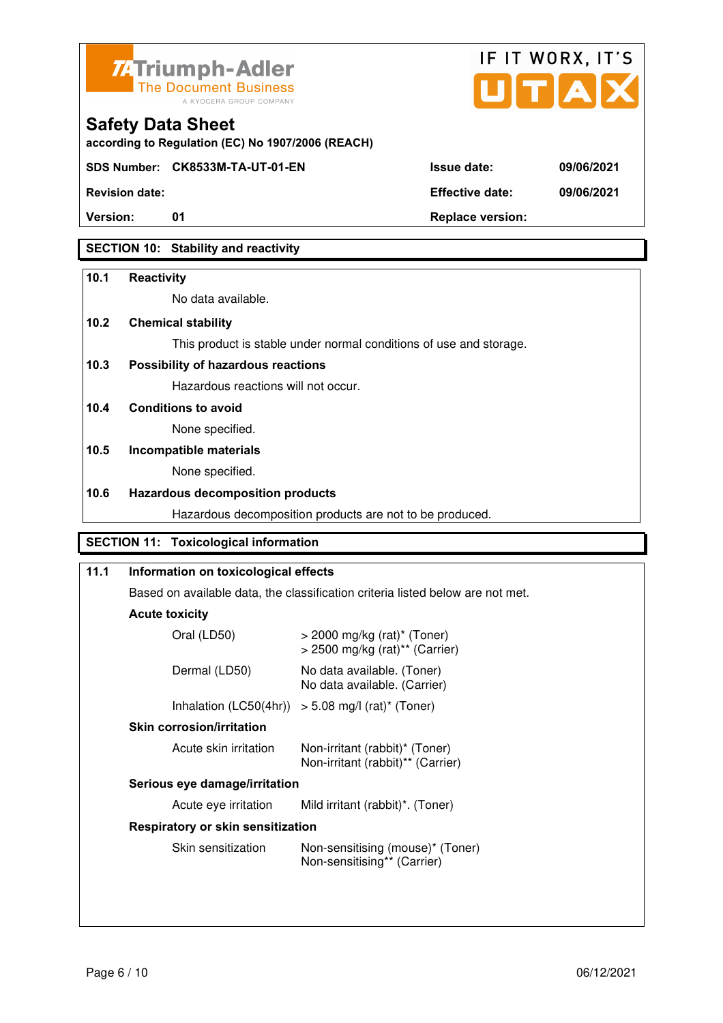



**according to Regulation (EC) No 1907/2006 (REACH)**

**SDS Number: CK8533M-TA-UT-01-EN Issue date: 09/06/2021** 

**Revision date: Effective date: 09/06/2021** 

**Version:** 01 01 Replace version:

## **SECTION 10: Stability and reactivity**

### **10.1 Reactivity**

No data available.

## **10.2 Chemical stability**

This product is stable under normal conditions of use and storage.

## **10.3 Possibility of hazardous reactions**

Hazardous reactions will not occur.

**10.4 Conditions to avoid** 

None specified.

## **10.5 Incompatible materials**

None specified.

### **10.6 Hazardous decomposition products**

Hazardous decomposition products are not to be produced.

## **SECTION 11: Toxicological information**

## **11.1 Information on toxicological effects**  Based on available data, the classification criteria listed below are not met. **Acute toxicity** Oral (LD50) > 2000 mg/kg (rat)\* (Toner) > 2500 mg/kg (rat)\*\* (Carrier) Dermal (LD50) No data available. (Toner) No data available. (Carrier) Inhalation  $(LC50(4hr)) > 5.08$  mg/l (rat)\* (Toner)  **Skin corrosion/irritation** Acute skin irritation Non-irritant (rabbit)\* (Toner) Non-irritant (rabbit)\*\* (Carrier)  **Serious eye damage/irritation** Acute eye irritation Mild irritant (rabbit)\*. (Toner)  **Respiratory or skin sensitization**  Skin sensitization Mon-sensitising (mouse)\* (Toner) Non-sensitising\*\* (Carrier)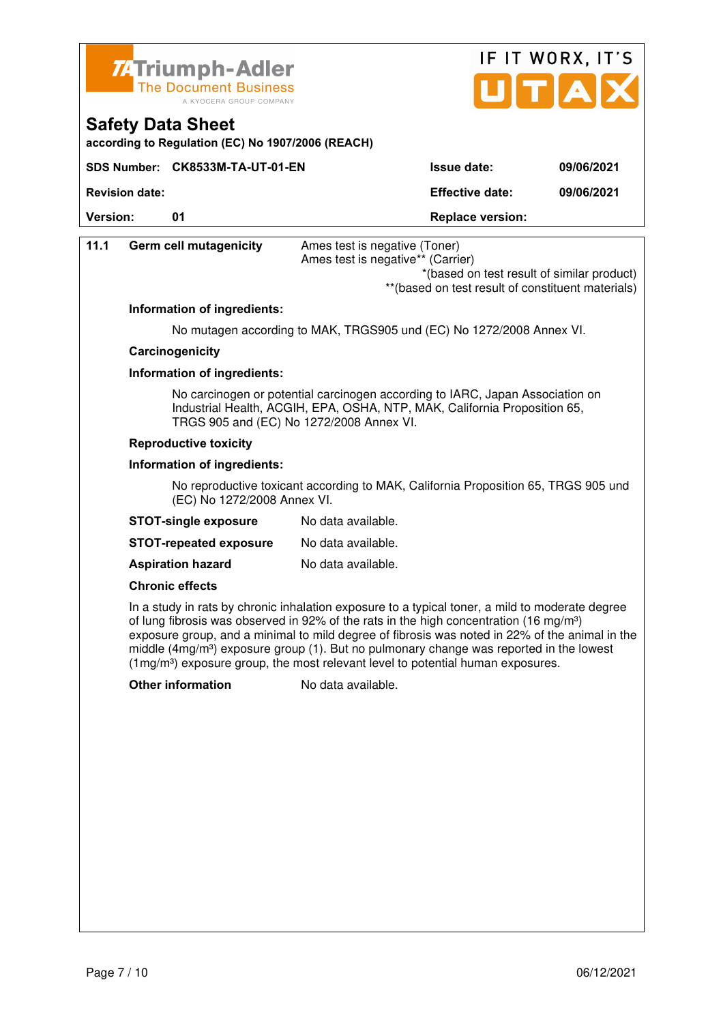

**Safety Data Sheet** 



| <b>Germ cell mutagenicity</b>            | Ames test is negative (Toner)<br>Ames test is negative** (Carrier)<br>*(based on test result of similar product)<br>** (based on test result of constituent materials)                                                                                                                                                                                                                                                                                                                            |
|------------------------------------------|---------------------------------------------------------------------------------------------------------------------------------------------------------------------------------------------------------------------------------------------------------------------------------------------------------------------------------------------------------------------------------------------------------------------------------------------------------------------------------------------------|
| Information of ingredients:              |                                                                                                                                                                                                                                                                                                                                                                                                                                                                                                   |
|                                          | No mutagen according to MAK, TRGS905 und (EC) No 1272/2008 Annex VI.                                                                                                                                                                                                                                                                                                                                                                                                                              |
| Carcinogenicity                          |                                                                                                                                                                                                                                                                                                                                                                                                                                                                                                   |
| Information of ingredients:              |                                                                                                                                                                                                                                                                                                                                                                                                                                                                                                   |
| TRGS 905 and (EC) No 1272/2008 Annex VI. | No carcinogen or potential carcinogen according to IARC, Japan Association on<br>Industrial Health, ACGIH, EPA, OSHA, NTP, MAK, California Proposition 65,                                                                                                                                                                                                                                                                                                                                        |
| <b>Reproductive toxicity</b>             |                                                                                                                                                                                                                                                                                                                                                                                                                                                                                                   |
| Information of ingredients:              |                                                                                                                                                                                                                                                                                                                                                                                                                                                                                                   |
| (EC) No 1272/2008 Annex VI.              | No reproductive toxicant according to MAK, California Proposition 65, TRGS 905 und                                                                                                                                                                                                                                                                                                                                                                                                                |
| <b>STOT-single exposure</b>              | No data available.                                                                                                                                                                                                                                                                                                                                                                                                                                                                                |
| <b>STOT-repeated exposure</b>            | No data available.                                                                                                                                                                                                                                                                                                                                                                                                                                                                                |
| <b>Aspiration hazard</b>                 | No data available.                                                                                                                                                                                                                                                                                                                                                                                                                                                                                |
| <b>Chronic effects</b>                   |                                                                                                                                                                                                                                                                                                                                                                                                                                                                                                   |
|                                          | In a study in rats by chronic inhalation exposure to a typical toner, a mild to moderate degree<br>of lung fibrosis was observed in 92% of the rats in the high concentration (16 mg/m <sup>3</sup> )<br>exposure group, and a minimal to mild degree of fibrosis was noted in 22% of the animal in the<br>middle $(4mg/m3)$ exposure group (1). But no pulmonary change was reported in the lowest<br>$(1\,\text{mg/m}^3)$ exposure group, the most relevant level to potential human exposures. |
| <b>Other information</b>                 | No data available.                                                                                                                                                                                                                                                                                                                                                                                                                                                                                |
|                                          |                                                                                                                                                                                                                                                                                                                                                                                                                                                                                                   |
|                                          |                                                                                                                                                                                                                                                                                                                                                                                                                                                                                                   |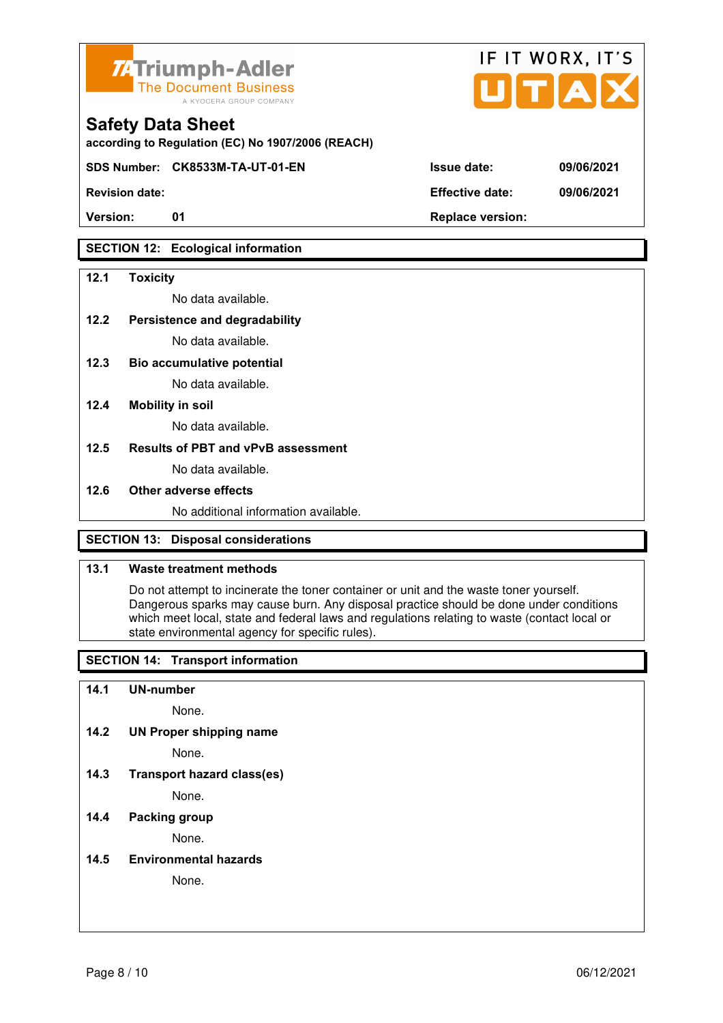

**according to Regulation (EC) No 1907/2006 (REACH)**

**SDS Number: CK8533M-TA-UT-01-EN Issue date: 09/06/2021** 

### **SECTION 12: Ecological information**

#### **12.1 Toxicity**

No data available.

#### **12.2 Persistence and degradability**

No data available.

**12.3 Bio accumulative potential** 

No data available.

#### **12.4 Mobility in soil**

No data available.

#### **12.5 Results of PBT and vPvB assessment**

No data available.

#### **12.6 Other adverse effects**

No additional information available.

### **SECTION 13: Disposal considerations**

#### **13.1 Waste treatment methods**

 Do not attempt to incinerate the toner container or unit and the waste toner yourself. Dangerous sparks may cause burn. Any disposal practice should be done under conditions which meet local, state and federal laws and regulations relating to waste (contact local or state environmental agency for specific rules).

#### **SECTION 14: Transport information**

#### **14.1 UN-number**

None.

**14.2 UN Proper shipping name** 

None.

**14.3 Transport hazard class(es)** 

None.

### **14.4 Packing group**

None.

#### **14.5 Environmental hazards**

None.

| <b>Revision date:</b> | <b>Effective date:</b> | 09/06/2021 |
|-----------------------|------------------------|------------|

IF IT WORX, IT'S

Version: 01 01 **Replace version:**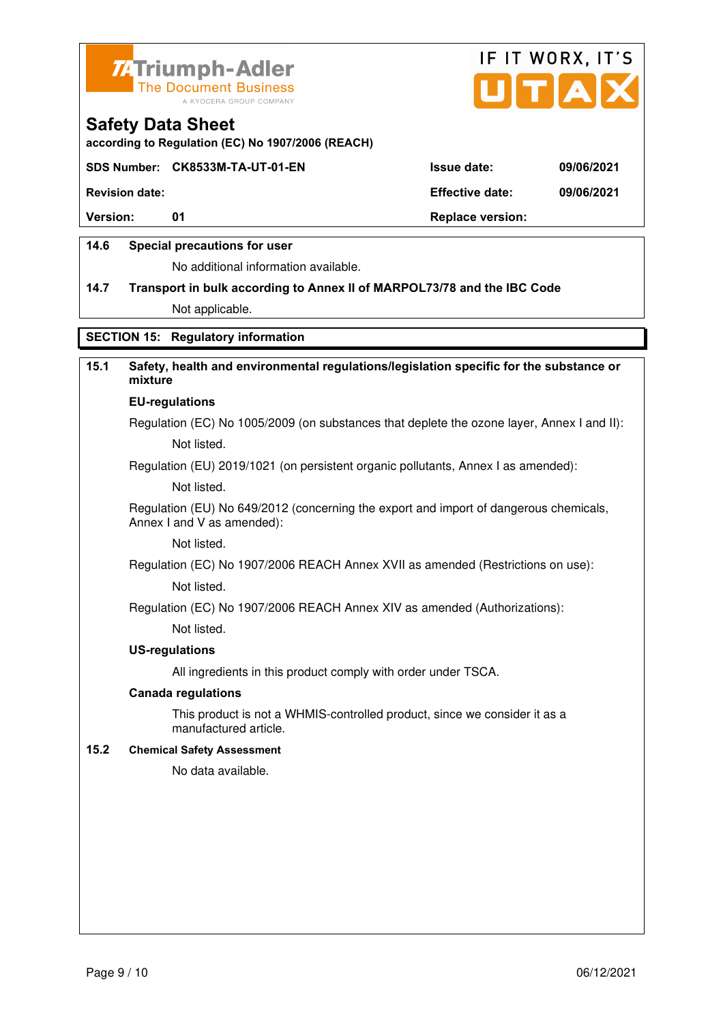



**according to Regulation (EC) No 1907/2006 (REACH)**

#### **SDS Number: CK8533M-TA-UT-01-EN Issue date: 09/06/2021**

**Revision date: Effective date: 09/06/2021** 

**Version:** 01 **Depending to 201 Replace version:** 

#### **14.6 Special precautions for user**

No additional information available.

# **14.7 Transport in bulk according to Annex II of MARPOL73/78 and the IBC Code**

Not applicable.

### **SECTION 15: Regulatory information**

## **15.1 Safety, health and environmental regulations/legislation specific for the substance or mixture**

#### **EU-regulations**

Regulation (EC) No 1005/2009 (on substances that deplete the ozone layer, Annex I and II): Not listed.

Regulation (EU) 2019/1021 (on persistent organic pollutants, Annex I as amended):

Not listed.

 Regulation (EU) No 649/2012 (concerning the export and import of dangerous chemicals, Annex I and V as amended):

Not listed.

 Regulation (EC) No 1907/2006 REACH Annex XVII as amended (Restrictions on use): Not listed.

Regulation (EC) No 1907/2006 REACH Annex XIV as amended (Authorizations):

Not listed.

#### **US-regulations**

All ingredients in this product comply with order under TSCA.

#### **Canada regulations**

 This product is not a WHMIS-controlled product, since we consider it as a manufactured article.

#### **15.2 Chemical Safety Assessment**

No data available.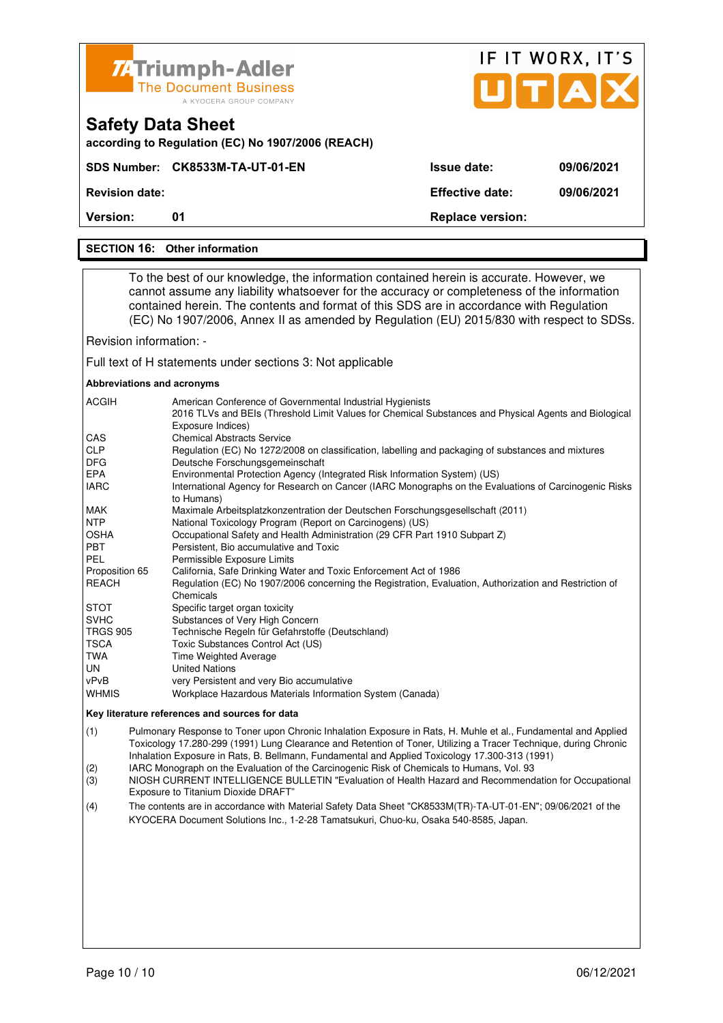| <b>74Triumph-Adler</b><br><b>The Document Business</b> |
|--------------------------------------------------------|
| A KYOCERA GROUP COMPANY                                |

**SDS Number: CK8533M-TA-UT-01-EN** 

**according to Regulation (EC) No 1907/2006 (REACH)**

|             | IF IT WORX, IT'S<br><b>JITA</b> |  |  |
|-------------|---------------------------------|--|--|
| Issue date: | 09/06/2021                      |  |  |

**Revision date: Effective date: 09/06/2021** 

**Version:** 01 **Replace version: 01 Replace version:** 

#### **SECTION 16: Other information**

**Safety Data Sheet** 

 To the best of our knowledge, the information contained herein is accurate. However, we cannot assume any liability whatsoever for the accuracy or completeness of the information contained herein. The contents and format of this SDS are in accordance with Regulation (EC) No 1907/2006, Annex II as amended by Regulation (EU) 2015/830 with respect to SDSs.

Revision information: -

Full text of H statements under sections 3: Not applicable

#### **Abbreviations and acronyms**

| <b>ACGIH</b>    | American Conference of Governmental Industrial Hygienists<br>2016 TLVs and BEIs (Threshold Limit Values for Chemical Substances and Physical Agents and Biological<br>Exposure Indices) |
|-----------------|-----------------------------------------------------------------------------------------------------------------------------------------------------------------------------------------|
| CAS             | <b>Chemical Abstracts Service</b>                                                                                                                                                       |
| <b>CLP</b>      | Regulation (EC) No 1272/2008 on classification, labelling and packaging of substances and mixtures                                                                                      |
| <b>DFG</b>      | Deutsche Forschungsgemeinschaft                                                                                                                                                         |
| <b>EPA</b>      | Environmental Protection Agency (Integrated Risk Information System) (US)                                                                                                               |
| <b>IARC</b>     | International Agency for Research on Cancer (IARC Monographs on the Evaluations of Carcinogenic Risks<br>to Humans)                                                                     |
| <b>MAK</b>      | Maximale Arbeitsplatzkonzentration der Deutschen Forschungsgesellschaft (2011)                                                                                                          |
| <b>NTP</b>      | National Toxicology Program (Report on Carcinogens) (US)                                                                                                                                |
| <b>OSHA</b>     | Occupational Safety and Health Administration (29 CFR Part 1910 Subpart Z)                                                                                                              |
| <b>PBT</b>      | Persistent, Bio accumulative and Toxic                                                                                                                                                  |
| PEL             | Permissible Exposure Limits                                                                                                                                                             |
| Proposition 65  | California, Safe Drinking Water and Toxic Enforcement Act of 1986                                                                                                                       |
| REACH           | Regulation (EC) No 1907/2006 concerning the Registration, Evaluation, Authorization and Restriction of<br>Chemicals                                                                     |
| <b>STOT</b>     | Specific target organ toxicity                                                                                                                                                          |
| <b>SVHC</b>     | Substances of Very High Concern                                                                                                                                                         |
| <b>TRGS 905</b> | Technische Regeln für Gefahrstoffe (Deutschland)                                                                                                                                        |
| <b>TSCA</b>     | Toxic Substances Control Act (US)                                                                                                                                                       |
| TWA             | <b>Time Weighted Average</b>                                                                                                                                                            |
| UN              | <b>United Nations</b>                                                                                                                                                                   |
| vPvB            | very Persistent and very Bio accumulative                                                                                                                                               |
| <b>WHMIS</b>    | Workplace Hazardous Materials Information System (Canada)                                                                                                                               |

#### **Key literature references and sources for data**

(1) Pulmonary Response to Toner upon Chronic Inhalation Exposure in Rats, H. Muhle et al., Fundamental and Applied Toxicology 17.280-299 (1991) Lung Clearance and Retention of Toner, Utilizing a Tracer Technique, during Chronic Inhalation Exposure in Rats, B. Bellmann, Fundamental and Applied Toxicology 17.300-313 (1991)

(2) IARC Monograph on the Evaluation of the Carcinogenic Risk of Chemicals to Humans, Vol. 93

(3) NIOSH CURRENT INTELLIGENCE BULLETIN "Evaluation of Health Hazard and Recommendation for Occupational Exposure to Titanium Dioxide DRAFT"

(4) The contents are in accordance with Material Safety Data Sheet "CK8533M(TR)-TA-UT-01-EN"; 09/06/2021 of the KYOCERA Document Solutions Inc., 1-2-28 Tamatsukuri, Chuo-ku, Osaka 540-8585, Japan.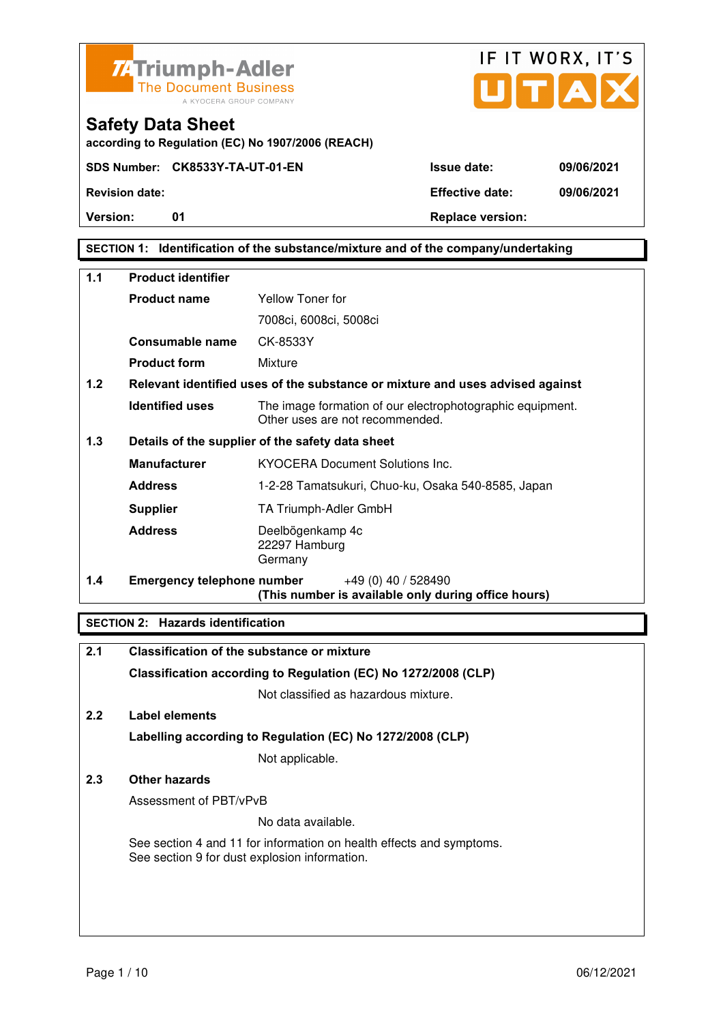

**Safety Data Sheet** 



**Version:** 01 01 Replace version:

**SECTION 1: Identification of the substance/mixture and of the company/undertaking** 

| $1.1$ | <b>Product identifier</b>         |                                                                                              |  |  |
|-------|-----------------------------------|----------------------------------------------------------------------------------------------|--|--|
|       | <b>Product name</b>               | Yellow Toner for                                                                             |  |  |
|       |                                   | 7008ci, 6008ci, 5008ci                                                                       |  |  |
|       | Consumable name                   | CK-8533Y                                                                                     |  |  |
|       | <b>Product form</b>               | Mixture                                                                                      |  |  |
| 1.2   |                                   | Relevant identified uses of the substance or mixture and uses advised against                |  |  |
|       | <b>Identified uses</b>            | The image formation of our electrophotographic equipment.<br>Other uses are not recommended. |  |  |
| 1.3   |                                   | Details of the supplier of the safety data sheet                                             |  |  |
|       | <b>Manufacturer</b>               | <b>KYOCERA Document Solutions Inc.</b>                                                       |  |  |
|       | <b>Address</b>                    | 1-2-28 Tamatsukuri, Chuo-ku, Osaka 540-8585, Japan                                           |  |  |
|       | <b>Supplier</b>                   | TA Triumph-Adler GmbH                                                                        |  |  |
|       | <b>Address</b>                    | Deelbögenkamp 4c<br>22297 Hamburg<br>Germany                                                 |  |  |
| 1.4   | <b>Emergency telephone number</b> | $+49(0)$ 40 / 528490<br>(This number is available only during office hours)                  |  |  |

#### **SECTION 2: Hazards identification**

| 2.1 | <b>Classification of the substance or mixture</b>                                                                     |
|-----|-----------------------------------------------------------------------------------------------------------------------|
|     | Classification according to Regulation (EC) No 1272/2008 (CLP)                                                        |
|     | Not classified as hazardous mixture.                                                                                  |
| 2.2 | Label elements                                                                                                        |
|     | Labelling according to Regulation (EC) No 1272/2008 (CLP)                                                             |
|     | Not applicable.                                                                                                       |
| 2.3 | Other hazards                                                                                                         |
|     | Assessment of PBT/vPvB                                                                                                |
|     | No data available.                                                                                                    |
|     | See section 4 and 11 for information on health effects and symptoms.<br>See section 9 for dust explosion information. |
|     |                                                                                                                       |
|     |                                                                                                                       |
|     |                                                                                                                       |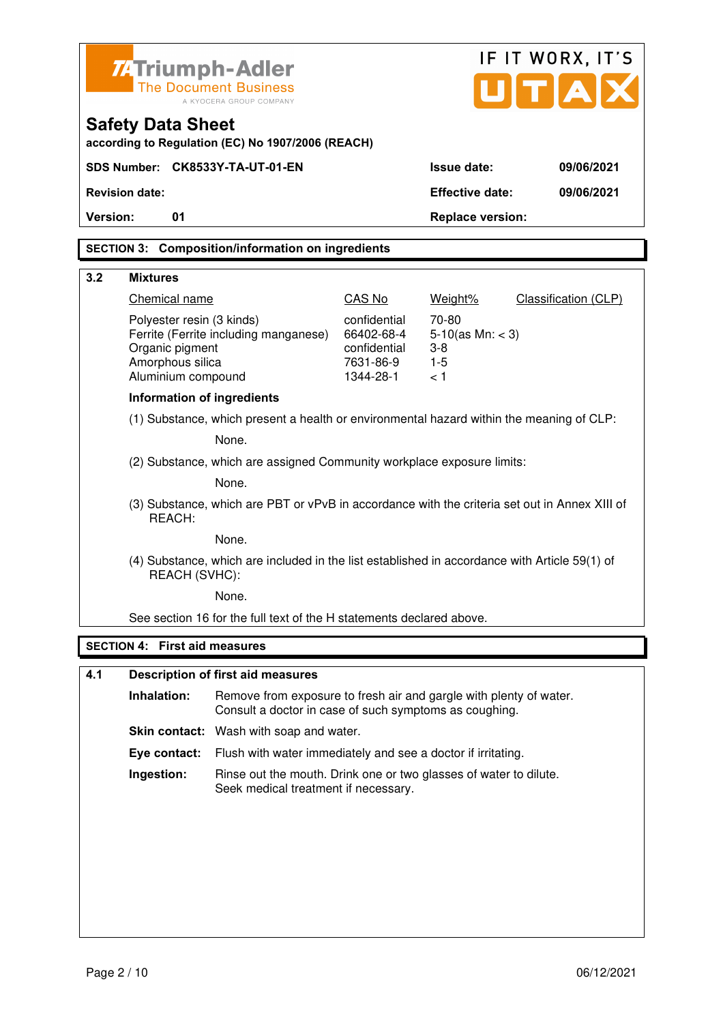| <b>74 Triumph-Adler</b>                                 |                                                                                                                |                                                                                                                              | IF IT WORX, IT'S          |                         |                                     |
|---------------------------------------------------------|----------------------------------------------------------------------------------------------------------------|------------------------------------------------------------------------------------------------------------------------------|---------------------------|-------------------------|-------------------------------------|
| <b>The Document Business</b><br>A KYOCERA GROUP COMPANY |                                                                                                                |                                                                                                                              |                           |                         | $\mathbf{U}[\mathbf{T}[\mathbf{A}]$ |
|                                                         | <b>Safety Data Sheet</b>                                                                                       | according to Regulation (EC) No 1907/2006 (REACH)                                                                            |                           |                         |                                     |
|                                                         |                                                                                                                | SDS Number: CK8533Y-TA-UT-01-EN                                                                                              |                           | <b>Issue date:</b>      | 09/06/2021                          |
|                                                         | <b>Revision date:</b>                                                                                          |                                                                                                                              |                           | <b>Effective date:</b>  | 09/06/2021                          |
| Version:                                                | 01                                                                                                             |                                                                                                                              |                           | <b>Replace version:</b> |                                     |
|                                                         |                                                                                                                | <b>SECTION 3: Composition/information on ingredients</b>                                                                     |                           |                         |                                     |
| 3.2                                                     | <b>Mixtures</b>                                                                                                |                                                                                                                              |                           |                         |                                     |
|                                                         | Chemical name                                                                                                  |                                                                                                                              | CAS No                    | Weight%                 | Classification (CLP)                |
|                                                         | Polyester resin (3 kinds)                                                                                      |                                                                                                                              | confidential              | 70-80                   |                                     |
|                                                         |                                                                                                                | Ferrite (Ferrite including manganese)                                                                                        | 66402-68-4                | $5-10$ (as Mn: < 3)     |                                     |
|                                                         | Organic pigment<br>Amorphous silica                                                                            |                                                                                                                              | confidential<br>7631-86-9 | $3 - 8$<br>$1 - 5$      |                                     |
|                                                         | Aluminium compound                                                                                             |                                                                                                                              | 1344-28-1                 | < 1                     |                                     |
|                                                         | <b>Information of ingredients</b>                                                                              |                                                                                                                              |                           |                         |                                     |
|                                                         | (1) Substance, which present a health or environmental hazard within the meaning of CLP:                       |                                                                                                                              |                           |                         |                                     |
|                                                         | None.                                                                                                          |                                                                                                                              |                           |                         |                                     |
|                                                         | (2) Substance, which are assigned Community workplace exposure limits:                                         |                                                                                                                              |                           |                         |                                     |
|                                                         |                                                                                                                | None.                                                                                                                        |                           |                         |                                     |
|                                                         | (3) Substance, which are PBT or vPvB in accordance with the criteria set out in Annex XIII of<br>REACH:        |                                                                                                                              |                           |                         |                                     |
|                                                         |                                                                                                                | None.                                                                                                                        |                           |                         |                                     |
|                                                         | (4) Substance, which are included in the list established in accordance with Article 59(1) of<br>REACH (SVHC): |                                                                                                                              |                           |                         |                                     |
|                                                         |                                                                                                                | None.                                                                                                                        |                           |                         |                                     |
|                                                         |                                                                                                                | See section 16 for the full text of the H statements declared above.                                                         |                           |                         |                                     |
|                                                         | <b>SECTION 4: First aid measures</b>                                                                           |                                                                                                                              |                           |                         |                                     |
| 4.1                                                     |                                                                                                                | <b>Description of first aid measures</b>                                                                                     |                           |                         |                                     |
|                                                         |                                                                                                                |                                                                                                                              |                           |                         |                                     |
|                                                         | Inhalation:                                                                                                    | Remove from exposure to fresh air and gargle with plenty of water.<br>Consult a doctor in case of such symptoms as coughing. |                           |                         |                                     |
|                                                         |                                                                                                                | Skin contact: Wash with soap and water.                                                                                      |                           |                         |                                     |
|                                                         | Eye contact:                                                                                                   | Flush with water immediately and see a doctor if irritating.                                                                 |                           |                         |                                     |

**Ingestion:** Rinse out the mouth. Drink one or two glasses of water to dilute. Seek medical treatment if necessary.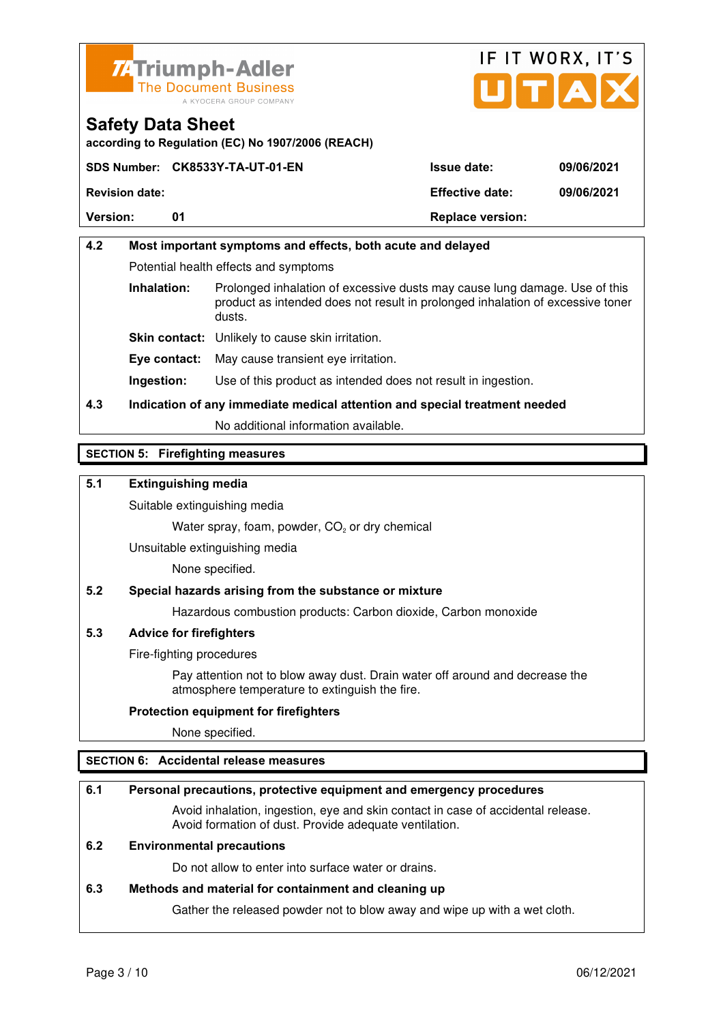



**according to Regulation (EC) No 1907/2006 (REACH)**

|                       | SDS Number: CK8533Y-TA-UT-01-EN | <b>Issue date:</b>      | 09/06/2021 |
|-----------------------|---------------------------------|-------------------------|------------|
| <b>Revision date:</b> |                                 | <b>Effective date:</b>  | 09/06/2021 |
| <b>Version:</b>       | 01                              | <b>Replace version:</b> |            |

## **4.2 Most important symptoms and effects, both acute and delayed**  Potential health effects and symptoms **Inhalation:** Prolonged inhalation of excessive dusts may cause lung damage. Use of this product as intended does not result in prolonged inhalation of excessive toner dusts. **Skin contact:** Unlikely to cause skin irritation. **Eye contact:** May cause transient eye irritation.

**Ingestion:** Use of this product as intended does not result in ingestion.

## **4.3 Indication of any immediate medical attention and special treatment needed**

No additional information available.

## **SECTION 5: Firefighting measures**

### **5.1 Extinguishing media**

Suitable extinguishing media

Water spray, foam, powder,  $CO<sub>2</sub>$  or dry chemical

Unsuitable extinguishing media

None specified.

#### **5.2 Special hazards arising from the substance or mixture**

Hazardous combustion products: Carbon dioxide, Carbon monoxide

#### **5.3 Advice for firefighters**

Fire-fighting procedures

 Pay attention not to blow away dust. Drain water off around and decrease the atmosphere temperature to extinguish the fire.

#### **Protection equipment for firefighters**

None specified.

#### **SECTION 6: Accidental release measures**

#### **6.1 Personal precautions, protective equipment and emergency procedures**

 Avoid inhalation, ingestion, eye and skin contact in case of accidental release. Avoid formation of dust. Provide adequate ventilation.

#### **6.2 Environmental precautions**

Do not allow to enter into surface water or drains.

#### **6.3 Methods and material for containment and cleaning up**

Gather the released powder not to blow away and wipe up with a wet cloth.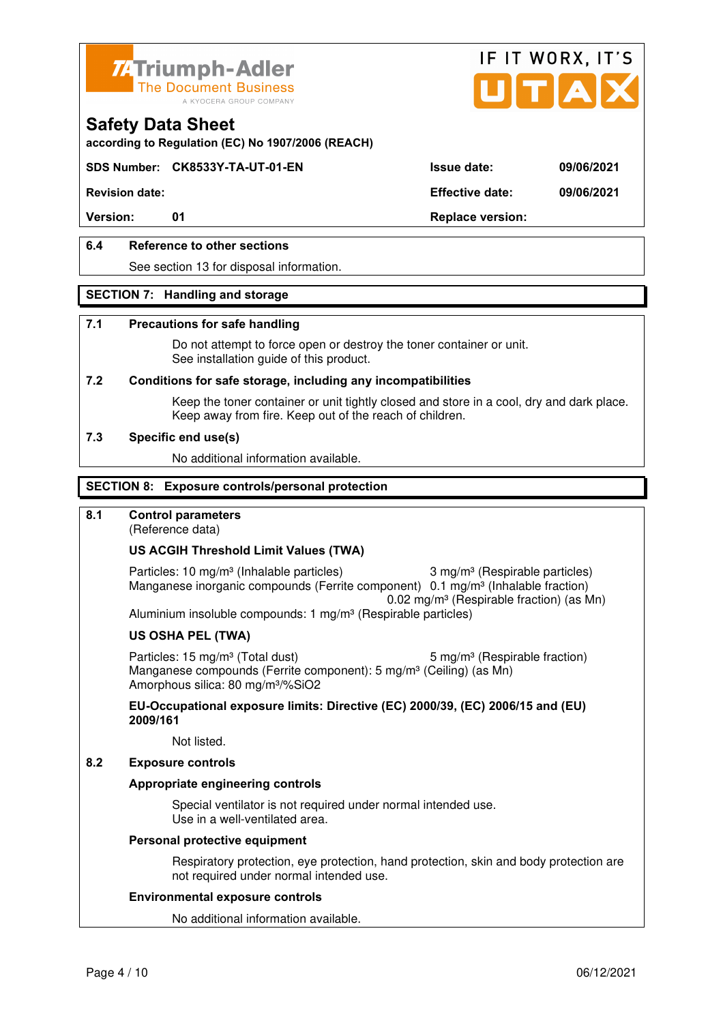



**according to Regulation (EC) No 1907/2006 (REACH)**

### **SDS Number: CK8533Y-TA-UT-01-EN Issue date: 09/06/2021**

**Revision date: Effective date: 09/06/2021** 

Version: 01 01 **Replace version:** 

## **6.4 Reference to other sections**

See section 13 for disposal information.

#### **SECTION 7: Handling and storage**

#### **7.1 Precautions for safe handling**

 Do not attempt to force open or destroy the toner container or unit. See installation guide of this product.

#### **7.2 Conditions for safe storage, including any incompatibilities**

Keep the toner container or unit tightly closed and store in a cool, dry and dark place. Keep away from fire. Keep out of the reach of children.

#### **7.3 Specific end use(s)**

No additional information available.

#### **SECTION 8: Exposure controls/personal protection**

#### **8.1 Control parameters**

(Reference data)

#### **US ACGIH Threshold Limit Values (TWA)**

Particles: 10 mg/m<sup>3</sup> (Inhalable particles) 3 mg/m<sup>3</sup> (Respirable particles) Manganese inorganic compounds (Ferrite component) 0.1 mg/m<sup>3</sup> (Inhalable fraction) 0.02 mg/m³ (Respirable fraction) (as Mn) Aluminium insoluble compounds: 1 mg/m<sup>3</sup> (Respirable particles)

#### **US OSHA PEL (TWA)**

Particles: 15 mg/m<sup>3</sup> (Total dust) 5 mg/m<sup>3</sup> (Respirable fraction) Manganese compounds (Ferrite component): 5 mg/m<sup>3</sup> (Ceiling) (as Mn) Amorphous silica: 80 mg/m³/%SiO2

**EU-Occupational exposure limits: Directive (EC) 2000/39, (EC) 2006/15 and (EU) 2009/161**

Not listed.

#### **8.2 Exposure controls**

#### **Appropriate engineering controls**

 Special ventilator is not required under normal intended use. Use in a well-ventilated area.

#### **Personal protective equipment**

 Respiratory protection, eye protection, hand protection, skin and body protection are not required under normal intended use.

#### **Environmental exposure controls**

No additional information available.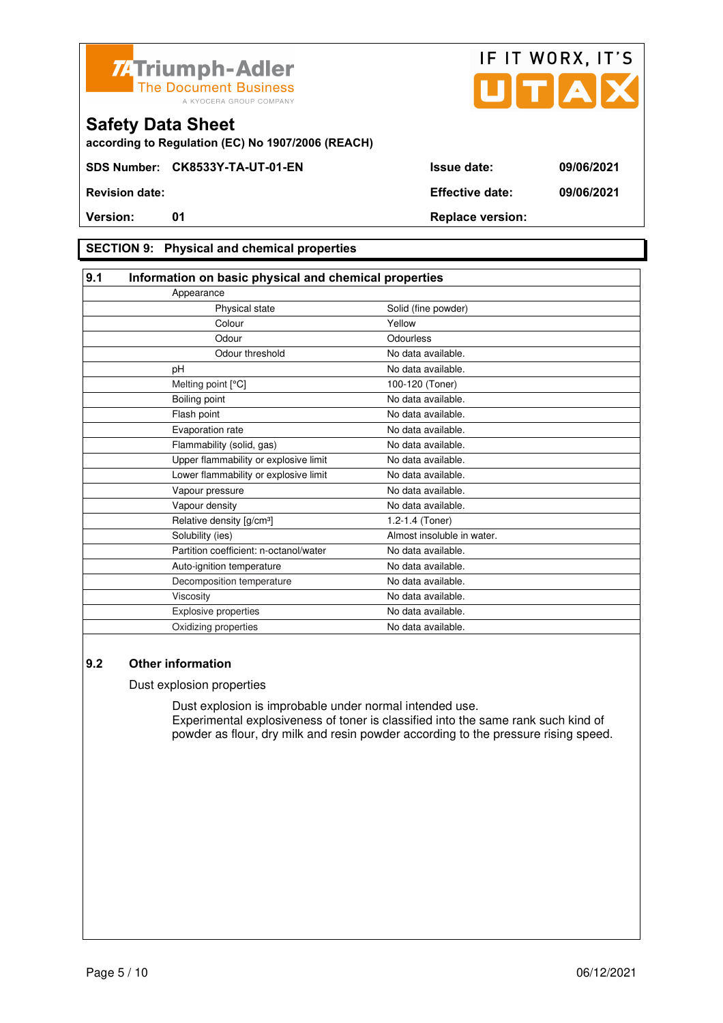



**according to Regulation (EC) No 1907/2006 (REACH)**

### **SECTION 9: Physical and chemical properties**

| 9.1<br>Information on basic physical and chemical properties |                            |
|--------------------------------------------------------------|----------------------------|
| Appearance                                                   |                            |
| Physical state                                               | Solid (fine powder)        |
| Colour                                                       | Yellow                     |
| Odour                                                        | Odourless                  |
| Odour threshold                                              | No data available.         |
| pH                                                           | No data available.         |
| Melting point [°C]                                           | 100-120 (Toner)            |
| Boiling point                                                | No data available.         |
| Flash point                                                  | No data available.         |
| Evaporation rate                                             | No data available.         |
| Flammability (solid, gas)                                    | No data available.         |
| Upper flammability or explosive limit                        | No data available.         |
| Lower flammability or explosive limit                        | No data available.         |
| Vapour pressure                                              | No data available.         |
| Vapour density                                               | No data available.         |
| Relative density [g/cm <sup>3</sup> ]                        | 1.2-1.4 (Toner)            |
| Solubility (ies)                                             | Almost insoluble in water. |
| Partition coefficient: n-octanol/water                       | No data available.         |
| Auto-ignition temperature                                    | No data available.         |
| Decomposition temperature                                    | No data available.         |
| Viscosity                                                    | No data available.         |
| <b>Explosive properties</b>                                  | No data available.         |
| Oxidizing properties                                         | No data available.         |

### **9.2 Other information**

Dust explosion properties

 Dust explosion is improbable under normal intended use. Experimental explosiveness of toner is classified into the same rank such kind of powder as flour, dry milk and resin powder according to the pressure rising speed.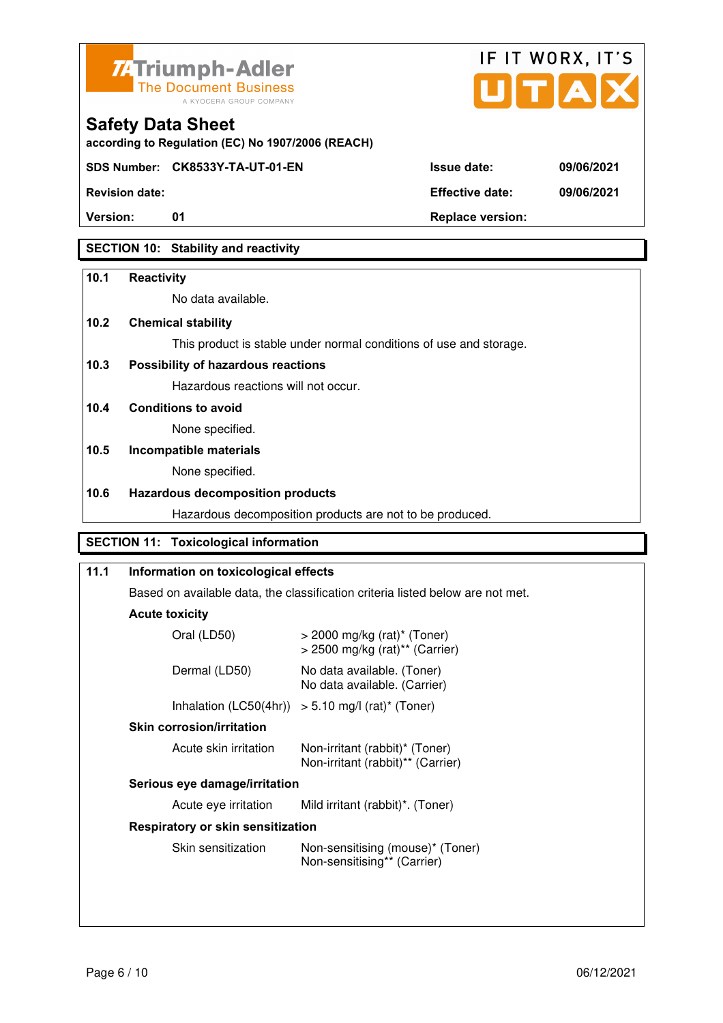



**according to Regulation (EC) No 1907/2006 (REACH)**

**SDS Number: CK8533Y-TA-UT-01-EN Issue date: 09/06/2021** 

**Revision date: Effective date: 09/06/2021** 

**Version:** 01 01 Replace version:

## **SECTION 10: Stability and reactivity**

### **10.1 Reactivity**

No data available.

## **10.2 Chemical stability**

This product is stable under normal conditions of use and storage.

## **10.3 Possibility of hazardous reactions**

Hazardous reactions will not occur.

**10.4 Conditions to avoid** 

None specified.

## **10.5 Incompatible materials**

None specified.

### **10.6 Hazardous decomposition products**

Hazardous decomposition products are not to be produced.

## **SECTION 11: Toxicological information**

## **11.1 Information on toxicological effects**  Based on available data, the classification criteria listed below are not met. **Acute toxicity** Oral (LD50) > 2000 mg/kg (rat)\* (Toner) > 2500 mg/kg (rat)\*\* (Carrier) Dermal (LD50) No data available. (Toner) No data available. (Carrier) Inhalation  $(LC50(4hr)) > 5.10$  mg/l  $(rat)^*$  (Toner)  **Skin corrosion/irritation** Acute skin irritation Non-irritant (rabbit)\* (Toner) Non-irritant (rabbit)\*\* (Carrier)  **Serious eye damage/irritation** Acute eye irritation Mild irritant (rabbit)\*. (Toner)  **Respiratory or skin sensitization**  Skin sensitization Mon-sensitising (mouse)\* (Toner) Non-sensitising\*\* (Carrier)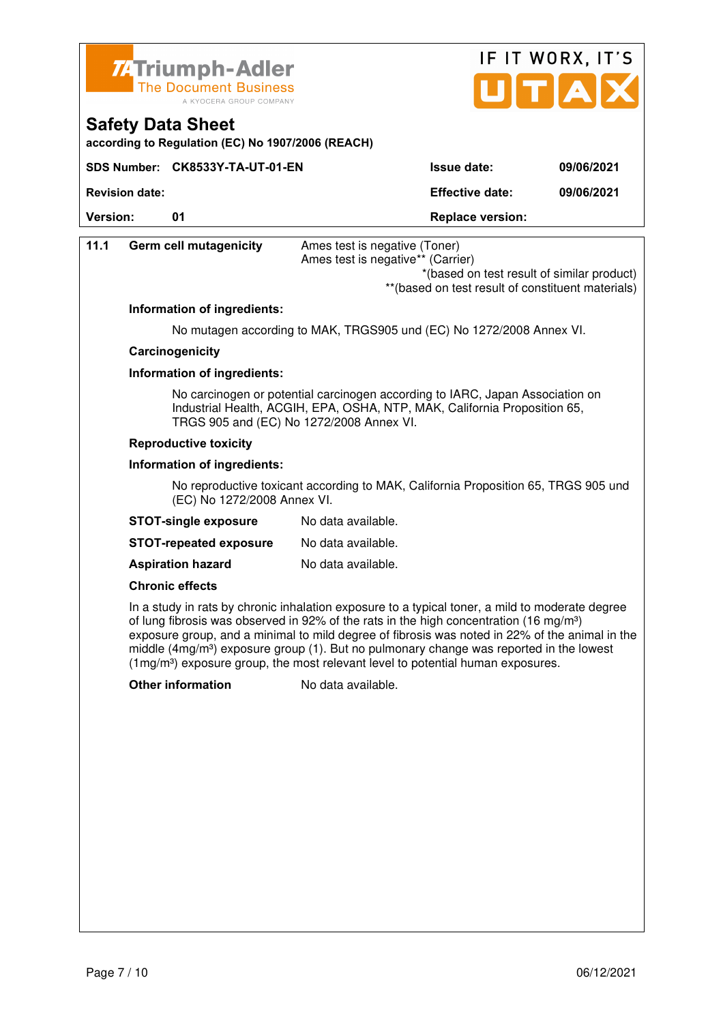

**Safety Data Sheet** 



**Version:** 01 **Depending to 201 Replace version: 11.1 Germ cell mutagenicity** Ames test is negative (Toner) Ames test is negative\*\* (Carrier) \*(based on test result of similar product) \*\*(based on test result of constituent materials) **Information of ingredients:**  No mutagen according to MAK, TRGS905 und (EC) No 1272/2008 Annex VI.  **Carcinogenicity Information of ingredients:**  No carcinogen or potential carcinogen according to IARC, Japan Association on Industrial Health, ACGIH, EPA, OSHA, NTP, MAK, California Proposition 65, TRGS 905 and (EC) No 1272/2008 Annex VI.  **Reproductive toxicity Information of ingredients:**  No reproductive toxicant according to MAK, California Proposition 65, TRGS 905 und (EC) No 1272/2008 Annex VI. **STOT-single exposure** No data available. **STOT-repeated exposure** No data available. **Aspiration hazard** No data available.  **Chronic effects** In a study in rats by chronic inhalation exposure to a typical toner, a mild to moderate degree of lung fibrosis was observed in 92% of the rats in the high concentration (16 mg/m<sup>3</sup>) exposure group, and a minimal to mild degree of fibrosis was noted in 22% of the animal in the middle (4mg/m<sup>3</sup>) exposure group (1). But no pulmonary change was reported in the lowest (1mg/m³) exposure group, the most relevant level to potential human exposures. **Other information** No data available.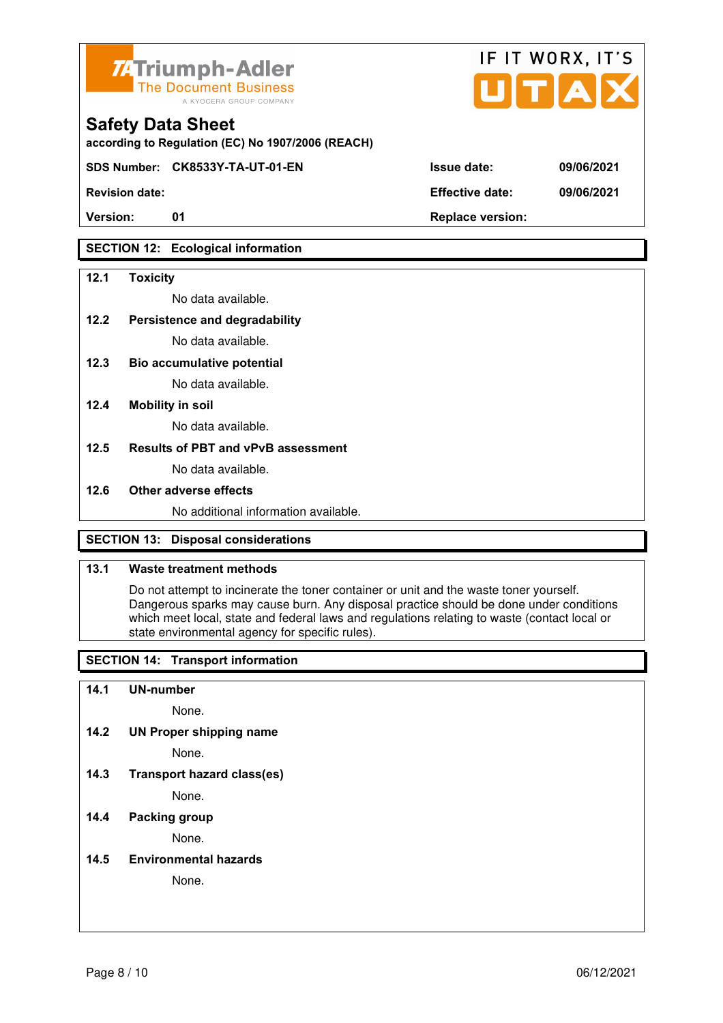



**SDS Number: CK8533Y-TA-UT-01-EN Issue date: 09/06/2021** 

**Revision date: Effective date: 09/06/2021** 

## **SECTION 12: Ecological information**

#### **12.1 Toxicity**

No data available.

#### **12.2 Persistence and degradability**

No data available.

**12.3 Bio accumulative potential** 

No data available.

#### **12.4 Mobility in soil**

No data available.

#### **12.5 Results of PBT and vPvB assessment**

No data available.

#### **12.6 Other adverse effects**

No additional information available.

## **SECTION 13: Disposal considerations**

#### **13.1 Waste treatment methods**

 Do not attempt to incinerate the toner container or unit and the waste toner yourself. Dangerous sparks may cause burn. Any disposal practice should be done under conditions which meet local, state and federal laws and regulations relating to waste (contact local or state environmental agency for specific rules).

## **SECTION 14: Transport information**

#### **14.1 UN-number**

None.

**14.2 UN Proper shipping name** 

None.

**14.3 Transport hazard class(es)** 

None.

### **14.4 Packing group**

None.

**14.5 Environmental hazards** 

None.

| ue date: | 09/06 |
|----------|-------|
|          |       |

IF IT WORX, IT'S

Version: 01 01 **Replace version:**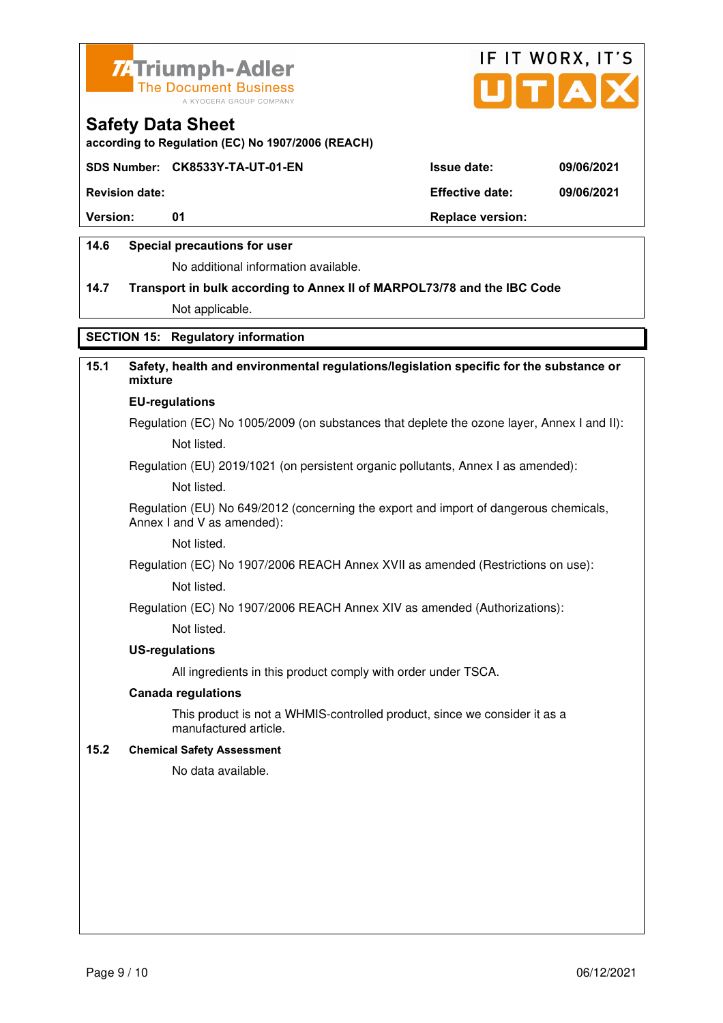



**according to Regulation (EC) No 1907/2006 (REACH)**

#### **SDS Number: CK8533Y-TA-UT-01-EN Issue date: 09/06/2021**

**Revision date: Effective date: 09/06/2021** 

**Version:** 01 **Depending to 201 Replace version:** 

### **14.6 Special precautions for user**

No additional information available.

# **14.7 Transport in bulk according to Annex II of MARPOL73/78 and the IBC Code**

Not applicable.

### **SECTION 15: Regulatory information**

## **15.1 Safety, health and environmental regulations/legislation specific for the substance or mixture**

#### **EU-regulations**

Regulation (EC) No 1005/2009 (on substances that deplete the ozone layer, Annex I and II): Not listed.

Regulation (EU) 2019/1021 (on persistent organic pollutants, Annex I as amended):

Not listed.

 Regulation (EU) No 649/2012 (concerning the export and import of dangerous chemicals, Annex I and V as amended):

Not listed.

 Regulation (EC) No 1907/2006 REACH Annex XVII as amended (Restrictions on use): Not listed.

Regulation (EC) No 1907/2006 REACH Annex XIV as amended (Authorizations):

Not listed.

#### **US-regulations**

All ingredients in this product comply with order under TSCA.

#### **Canada regulations**

 This product is not a WHMIS-controlled product, since we consider it as a manufactured article.

#### **15.2 Chemical Safety Assessment**

No data available.